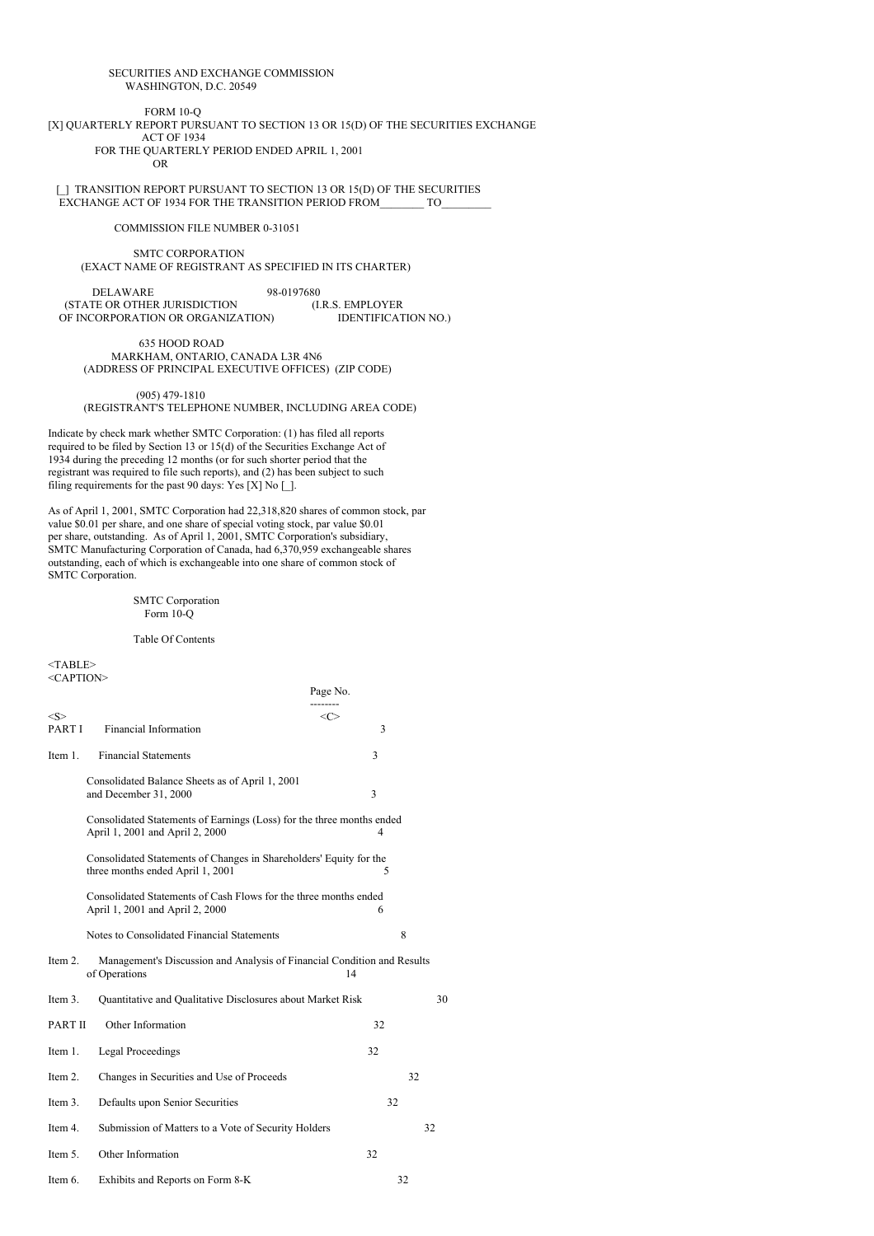## SECURITIES AND EXCHANGE COMMISSION WASHINGTON, D.C. 20549

FORM 10-Q [X] QUARTERLY REPORT PURSUANT TO SECTION 13 OR 15(D) OF THE SECURITIES EXCHANGE ACT OF 1934 FOR THE QUARTERLY PERIOD ENDED APRIL 1, 2001

OR

[] TRANSITION REPORT PURSUANT TO SECTION 13 OR 15(D) OF THE SECURITIES EXCHANGE ACT OF 1934 FOR THE TRANSITION PERIOD FROM TO

COMMISSION FILE NUMBER 0-31051

SMTC CORPORATION (EXACT NAME OF REGISTRANT AS SPECIFIED IN ITS CHARTER)

DELAWARE 98-0197680<br>TE OR OTHER JURISDICTION (I.R.S. EMPLOYER (STATE OR OTHER JURISDICTION (I.R.S. EMPLOYER<br>OF INCORPORATION OR ORGANIZATION) IDENTIFICATION NO. OF INCORPORATION OR ORGANIZATION)

635 HOOD ROAD MARKHAM, ONTARIO, CANADA L3R 4N6 (ADDRESS OF PRINCIPAL EXECUTIVE OFFICES) (ZIP CODE)

(905) 479-1810 (REGISTRANT'S TELEPHONE NUMBER, INCLUDING AREA CODE)

Indicate by check mark whether SMTC Corporation: (1) has filed all reports required to be filed by Section 13 or 15(d) of the Securities Exchange Act of 1934 during the preceding 12 months (or for such shorter period that the registrant was required to file such reports), and (2) has been subject to such filing requirements for the past 90 days: Yes  $[X]$  No  $[]$ .

As of April 1, 2001, SMTC Corporation had 22,318,820 shares of common stock, par value \$0.01 per share, and one share of special voting stock, par value \$0.01 per share, outstanding. As of April 1, 2001, SMTC Corporation's subsidiary, SMTC Manufacturing Corporation of Canada, had 6,370,959 exchangeable shares outstanding, each of which is exchangeable into one share of common stock of SMTC Corporation.

## SMTC Corporation Form 10-Q

Table Of Contents

 $<$ TABLE> <CAPTION>

|                 |                                                                                                          | Page No.                 |    |
|-----------------|----------------------------------------------------------------------------------------------------------|--------------------------|----|
| < S ><br>PART I | <b>Financial Information</b>                                                                             | $\langle C \rangle$<br>3 |    |
| Item 1.         | <b>Financial Statements</b>                                                                              | 3                        |    |
|                 | Consolidated Balance Sheets as of April 1, 2001<br>and December 31, 2000                                 | 3                        |    |
|                 | Consolidated Statements of Earnings (Loss) for the three months ended<br>April 1, 2001 and April 2, 2000 | 4                        |    |
|                 | Consolidated Statements of Changes in Shareholders' Equity for the<br>three months ended April 1, 2001   | 5                        |    |
|                 | Consolidated Statements of Cash Flows for the three months ended<br>April 1, 2001 and April 2, 2000      | 6                        |    |
|                 | Notes to Consolidated Financial Statements                                                               | 8                        |    |
| Item 2.         | Management's Discussion and Analysis of Financial Condition and Results<br>of Operations                 | 14                       |    |
| Item 3.         | Quantitative and Qualitative Disclosures about Market Risk                                               |                          | 30 |
| <b>PART II</b>  | Other Information                                                                                        | 32                       |    |
| Item 1.         | <b>Legal Proceedings</b>                                                                                 | 32                       |    |
| Item 2.         | Changes in Securities and Use of Proceeds                                                                |                          | 32 |
| Item 3.         | Defaults upon Senior Securities                                                                          | 32                       |    |
| Item 4.         | Submission of Matters to a Vote of Security Holders                                                      |                          | 32 |
| Item 5.         | Other Information                                                                                        | 32                       |    |
| Item 6.         | Exhibits and Reports on Form 8-K                                                                         | 32                       |    |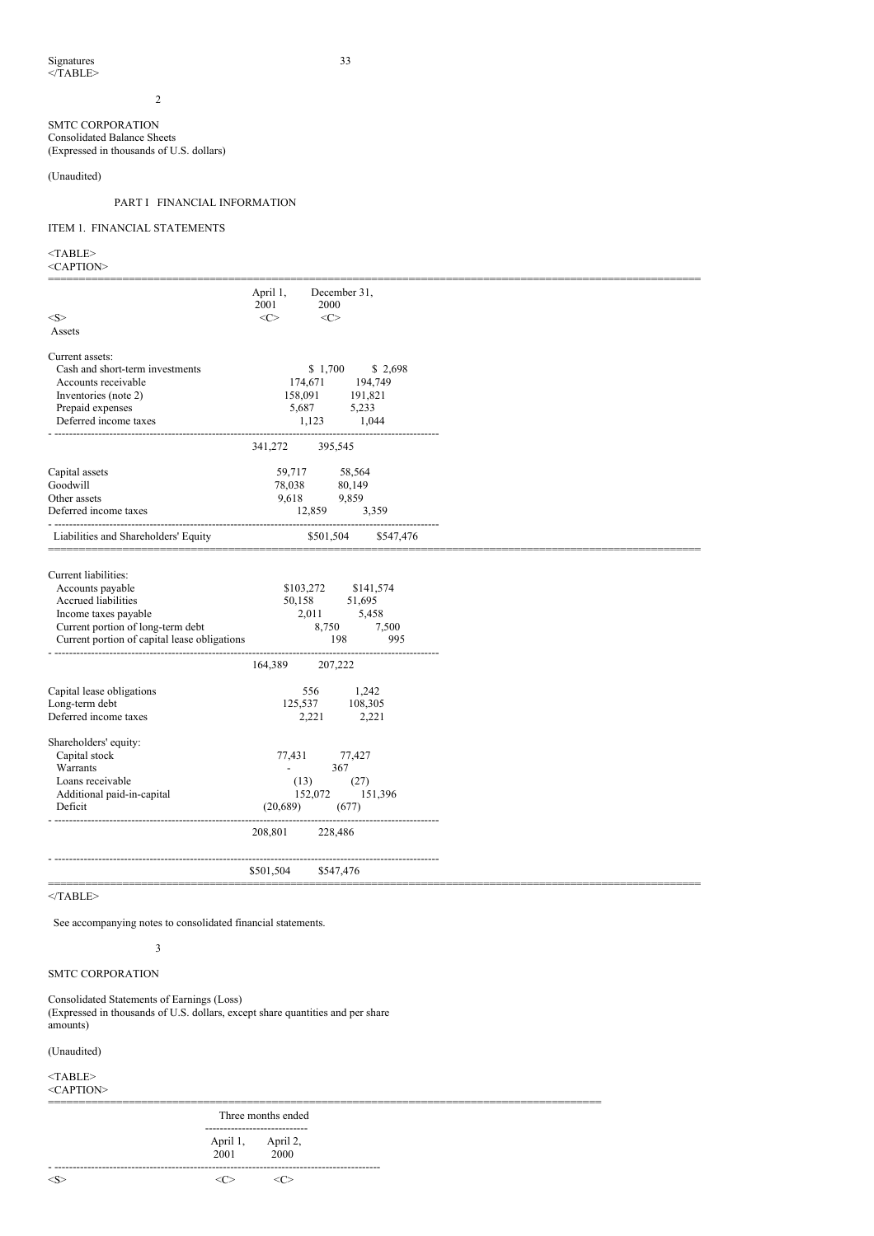2

## SMTC CORPORATION Consolidated Balance Sheets (Expressed in thousands of U.S. dollars)

(Unaudited)

# PART I FINANCIAL INFORMATION

# ITEM 1. FINANCIAL STATEMENTS

 $<$ TABLE $>$ 

| <caption></caption> |  |
|---------------------|--|
|---------------------|--|

|                                              | April 1,                 | December 31,        |           |
|----------------------------------------------|--------------------------|---------------------|-----------|
|                                              | 2001                     | 2000                |           |
| <s></s>                                      | $<\infty$                | $\langle C \rangle$ |           |
| Assets                                       |                          |                     |           |
|                                              |                          |                     |           |
| Current assets:                              |                          |                     |           |
| Cash and short-term investments              |                          | \$1,700             | \$2,698   |
| Accounts receivable                          |                          | 174,671             | 194,749   |
| Inventories (note 2)                         | 158,091                  |                     | 191,821   |
| Prepaid expenses                             | 5,687                    |                     | 5,233     |
| Deferred income taxes                        |                          | 1,123               | 1,044     |
|                                              |                          |                     |           |
|                                              | 341,272                  | 395,545             |           |
| Capital assets                               | 59,717                   |                     | 58,564    |
| Goodwill                                     | 78,038                   |                     | 80,149    |
| Other assets                                 | 9.618                    |                     | 9,859     |
| Deferred income taxes                        |                          | 12,859              | 3,359     |
|                                              |                          |                     |           |
| Liabilities and Shareholders' Equity         |                          | \$501,504           | \$547,476 |
|                                              |                          |                     |           |
|                                              |                          |                     |           |
| Current liabilities:                         |                          |                     |           |
| Accounts payable                             | \$103,272                |                     | \$141,574 |
| Accrued liabilities                          | 50,158                   |                     | 51,695    |
| Income taxes payable                         |                          | 2,011               | 5,458     |
| Current portion of long-term debt            |                          | 8,750               | 7,500     |
| Current portion of capital lease obligations |                          | 198                 | 995       |
|                                              |                          |                     |           |
|                                              | 164,389                  | 207,222             |           |
| Capital lease obligations                    |                          | 556                 | 1,242     |
| Long-term debt                               | 125,537                  |                     | 108,305   |
| Deferred income taxes                        |                          | 2,221               | 2,221     |
|                                              |                          |                     |           |
| Shareholders' equity:                        |                          |                     |           |
| Capital stock                                | 77,431                   |                     | 77,427    |
| Warrants                                     | $\overline{\phantom{a}}$ | 367                 |           |
| Loans receivable                             | (13)                     |                     | (27)      |
| Additional paid-in-capital                   |                          | 152,072             | 151,396   |
| Deficit                                      | (20,689)                 |                     | (677)     |
|                                              |                          |                     |           |
|                                              | 208,801                  | 228,486             |           |
|                                              |                          |                     |           |
|                                              |                          |                     |           |
|                                              | \$501,504                | \$547,476           |           |
|                                              |                          |                     |           |

=========================================================================================================

 $<$ /TABLE>

See accompanying notes to consolidated financial statements.

SMTC CORPORATION

# Consolidated Statements of Earnings (Loss)

3

(Expressed in thousands of U.S. dollars, except share quantities and per share amounts)

(Unaudited)

<TABLE>

<CAPTION>

========================================================================================= Three months ended ---------------------------- April 1, April 2,<br>2001 2000  $2000$ - -----------------------------------------------------------------------------------------  $\langle \zeta \rangle$   $\langle \zeta \rangle$   $\langle \zeta \rangle$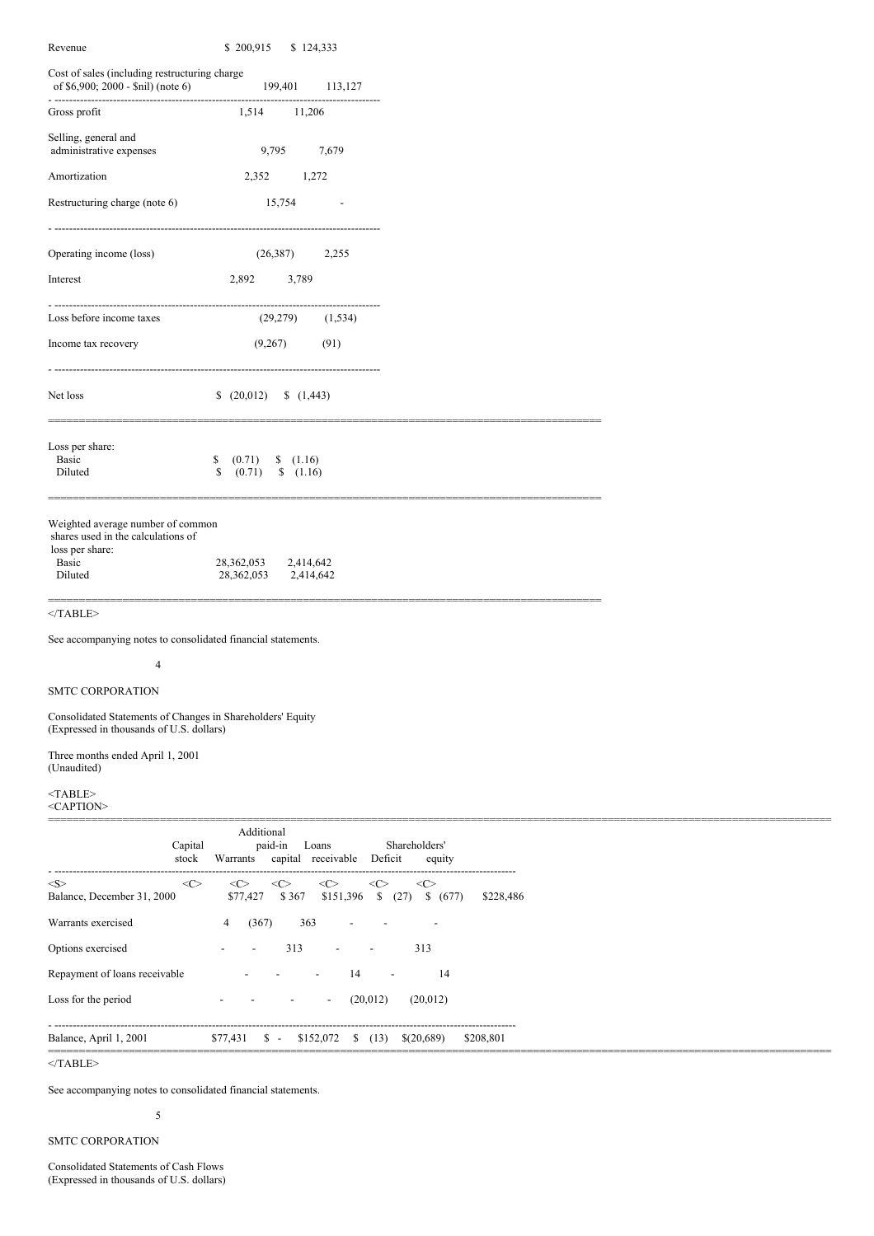| Revenue                                                                                                | \$200,915<br>\$124,333                                                   |                                      |  |
|--------------------------------------------------------------------------------------------------------|--------------------------------------------------------------------------|--------------------------------------|--|
| Cost of sales (including restructuring charge<br>of \$6,900; 2000 - \$nil) (note 6)                    | 199,401<br>113,127                                                       |                                      |  |
| Gross profit                                                                                           | 1,514<br>11,206                                                          |                                      |  |
| Selling, general and<br>administrative expenses                                                        | 9,795<br>7,679                                                           |                                      |  |
| Amortization                                                                                           | 2,352<br>1,272                                                           |                                      |  |
| Restructuring charge (note 6)                                                                          | 15,754<br>$\overline{\phantom{a}}$                                       |                                      |  |
| Operating income (loss)                                                                                | (26,387)<br>2,255                                                        |                                      |  |
| Interest                                                                                               | 2,892<br>3,789                                                           |                                      |  |
| Loss before income taxes                                                                               | ---------------<br>(29, 279)<br>(1, 534)                                 |                                      |  |
| Income tax recovery                                                                                    | (91)<br>(9,267)                                                          |                                      |  |
| Net loss                                                                                               | (20,012)<br>(1,443)                                                      |                                      |  |
| Loss per share:<br>Basic<br>Diluted                                                                    | \$<br>(0.71)<br>(1.16)<br>\$<br>(0.71)<br>(1.16)                         |                                      |  |
| Weighted average number of common<br>shares used in the calculations of<br>loss per share:             |                                                                          |                                      |  |
| Basic<br>Diluted                                                                                       | 28,362,053<br>2,414,642<br>28,362,053<br>2,414,642                       |                                      |  |
| $<$ /TABLE>                                                                                            |                                                                          |                                      |  |
| See accompanying notes to consolidated financial statements.                                           |                                                                          |                                      |  |
| $\overline{4}$                                                                                         |                                                                          |                                      |  |
| <b>SMTC CORPORATION</b>                                                                                |                                                                          |                                      |  |
| Consolidated Statements of Changes in Shareholders' Equity<br>(Expressed in thousands of U.S. dollars) |                                                                          |                                      |  |
| Three months ended April 1, 2001<br>(Unaudited)                                                        |                                                                          |                                      |  |
| $<$ TABLE><br><caption></caption>                                                                      |                                                                          |                                      |  |
| Capital<br>stock                                                                                       | Additional<br>paid-in<br>Loans<br>Warrants<br>capital receivable         | Shareholders'<br>Deficit<br>equity   |  |
| <<<br><s><br/>Balance, December 31, 2000</s>                                                           | <<<br>$<\!\!C\!\!>$<br>$<\infty$<br><<<br>\$151,396<br>\$77,427<br>\$367 | <<><br>(27)<br>\$ (677)<br>\$228,486 |  |
| Warrants exercised                                                                                     | (367)<br>363<br>4                                                        |                                      |  |
| Options exercised                                                                                      | 313<br>$\overline{\phantom{a}}$                                          | 313                                  |  |

Repayment of loans receivable  $\qquad \qquad - \qquad - \qquad 14 \qquad - \qquad 14$ Loss for the period - - - - (20,012) (20,012) - ------------------------------------------------------------------------------------------------------------------------------

Balance, April 1, 2001 \$77,431 \$ - \$152,072 \$ (13) \$(20,689) \$208,801 ==============================================================================================================================  $<$  /TABLE>  $\,$ 

See accompanying notes to consolidated financial statements.

# 5

SMTC CORPORATION

Consolidated Statements of Cash Flows (Expressed in thousands of U.S. dollars)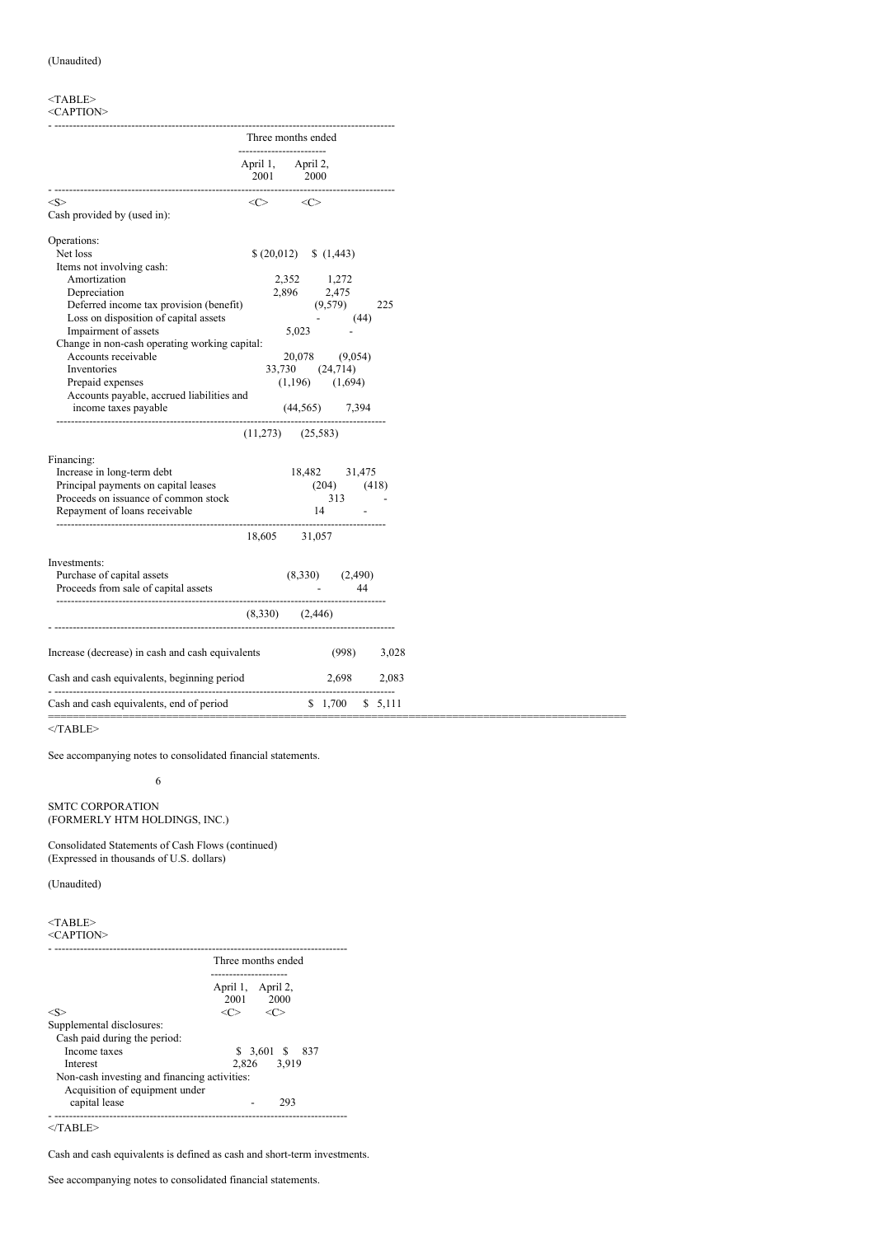#### $<$ TABLE> <CAPTION>

|                                                  |                          | Three months ended                       |                            |         |
|--------------------------------------------------|--------------------------|------------------------------------------|----------------------------|---------|
|                                                  | ------------------------ | April 1, April 2,<br>2001 2000           |                            |         |
| < S >                                            |                          | $\langle C \rangle$ $\langle C \rangle$  |                            |         |
| Cash provided by (used in):                      |                          |                                          |                            |         |
| Operations:                                      |                          |                                          |                            |         |
| Net loss                                         |                          | $(20,012)$ (1,443)                       |                            |         |
| Items not involving cash:                        |                          |                                          |                            |         |
| Amortization                                     |                          | 2,352 1,272                              |                            |         |
| Depreciation                                     |                          | 2,896 2,475                              |                            |         |
| Deferred income tax provision (benefit)          |                          |                                          | (9,579)                    | 225     |
| Loss on disposition of capital assets            |                          |                                          | (44)<br><b>Harry Corp.</b> |         |
| Impairment of assets                             |                          | 5,023                                    |                            |         |
| Change in non-cash operating working capital:    |                          |                                          |                            |         |
| Accounts receivable                              |                          | 20,078 (9,054)                           |                            |         |
| Inventories                                      |                          | 33,730 (24,714)                          |                            |         |
| Prepaid expenses                                 |                          | $(1,196)$ $(1,694)$                      |                            |         |
| Accounts payable, accrued liabilities and        |                          |                                          |                            |         |
| income taxes payable                             |                          | $(44,565)$ 7,394                         |                            |         |
|                                                  |                          | $(11,273)$ $(25,583)$                    |                            |         |
| Financing:                                       |                          |                                          |                            |         |
| Increase in long-term debt                       |                          | 18,482 31,475                            |                            |         |
| Principal payments on capital leases             |                          | $(204)$ $(418)$                          |                            |         |
| Proceeds on issuance of common stock             |                          |                                          | $313 -$                    |         |
| Repayment of loans receivable                    |                          | $\begin{array}{c} 313 \\ 14 \end{array}$ |                            |         |
|                                                  |                          | 18,605 31,057                            |                            |         |
|                                                  |                          |                                          |                            |         |
| Investments:                                     |                          |                                          |                            |         |
| Purchase of capital assets                       |                          | $(8,330)$ $(2,490)$                      | 44                         |         |
| Proceeds from sale of capital assets             |                          |                                          |                            |         |
|                                                  | $(8,330)$ $(2,446)$      |                                          |                            |         |
| Increase (decrease) in cash and cash equivalents |                          |                                          | $(998)$ 3,028              |         |
| Cash and cash equivalents, beginning period      |                          |                                          | 2,698 2,083                |         |
|                                                  |                          |                                          |                            |         |
| Cash and cash equivalents, end of period         |                          |                                          | \$1,700                    | \$5,111 |

=============================================================================================

 $<$ /TABLE>

See accompanying notes to consolidated financial statements.

6

SMTC CORPORATION (FORMERLY HTM HOLDINGS, INC.)

Consolidated Statements of Cash Flows (continued) (Expressed in thousands of U.S. dollars)

(Unaudited)

## $<$ TABLE> <CAPTION>

|                                              | Three months ended             |
|----------------------------------------------|--------------------------------|
|                                              | April 1, April 2,<br>2001 2000 |
| <s></s>                                      | $<\!\!C\!\!>$<br><r></r>       |
| Supplemental disclosures:                    |                                |
| Cash paid during the period:                 |                                |
| Income taxes                                 | \$ 3,601 \$ 837                |
| Interest                                     | 2,826 3,919                    |
| Non-cash investing and financing activities: |                                |
| Acquisition of equipment under               |                                |
| capital lease                                | 293                            |
|                                              |                                |

 $<$ /TABLE>

Cash and cash equivalents is defined as cash and short-term investments.

See accompanying notes to consolidated financial statements.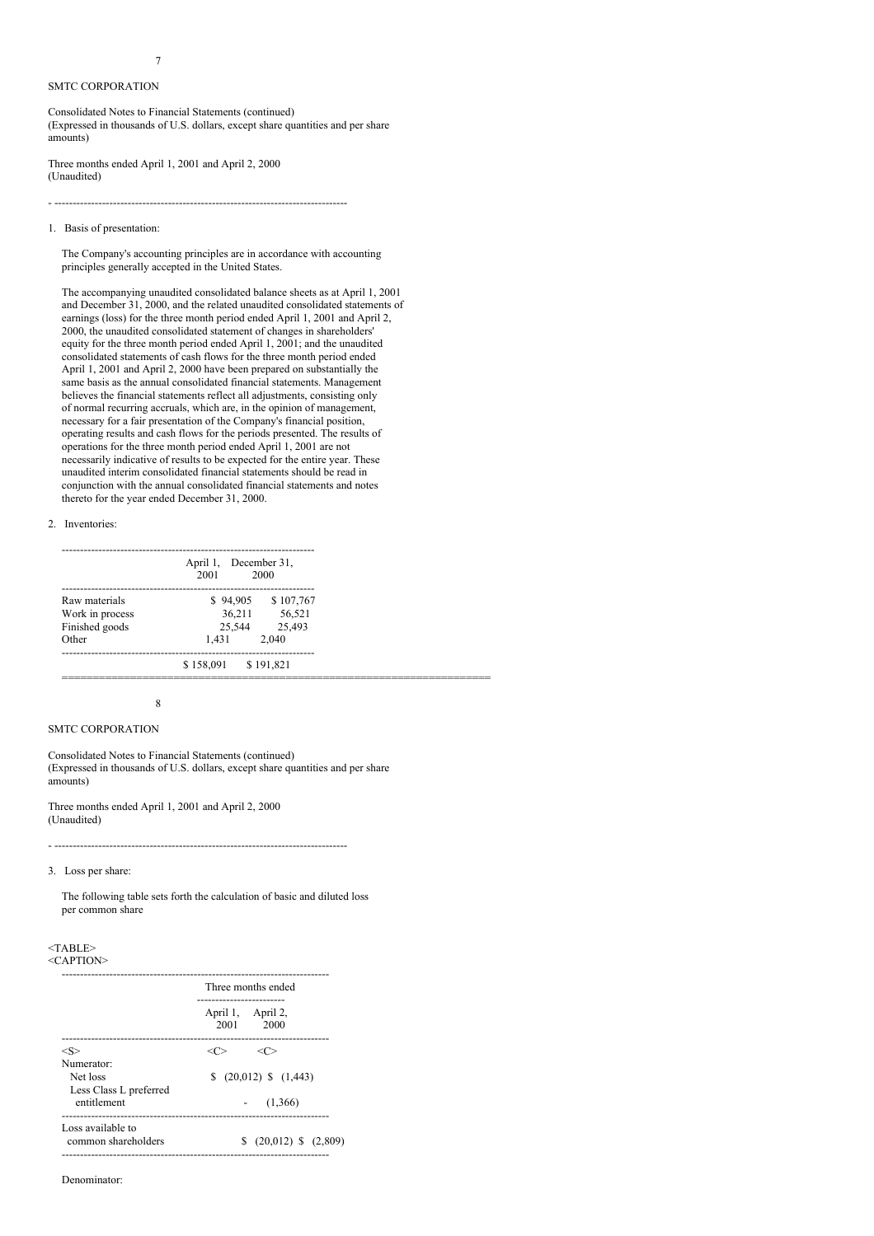# 7

# SMTC CORPORATION

Consolidated Notes to Financial Statements (continued) (Expressed in thousands of U.S. dollars, except share quantities and per share amounts)

Three months ended April 1, 2001 and April 2, 2000 (Unaudited)

# 1. Basis of presentation:

The Company's accounting principles are in accordance with accounting principles generally accepted in the United States.

- --------------------------------------------------------------------------------

The accompanying unaudited consolidated balance sheets as at April 1, 2001 and December 31, 2000, and the related unaudited consolidated statements of earnings (loss) for the three month period ended April 1, 2001 and April 2, 2000, the unaudited consolidated statement of changes in shareholders' equity for the three month period ended April 1, 2001; and the unaudited consolidated statements of cash flows for the three month period ended April 1, 2001 and April 2, 2000 have been prepared on substantially the same basis as the annual consolidated financial statements. Management believes the financial statements reflect all adjustments, consisting only of normal recurring accruals, which are, in the opinion of management, necessary for a fair presentation of the Company's financial position, operating results and cash flows for the periods presented. The results of operations for the three month period ended April 1, 2001 are not necessarily indicative of results to be expected for the entire year. These unaudited interim consolidated financial statements should be read in conjunction with the annual consolidated financial statements and notes thereto for the year ended December 31, 2000.

### 2. Inventories:

| $$94,905$ $$107,767$<br>Raw materials<br>36,211 56,521<br>Work in process<br>25,544 25,493<br>Finished goods<br>2.040<br>Other<br>1.431 |
|-----------------------------------------------------------------------------------------------------------------------------------------|
|                                                                                                                                         |
|                                                                                                                                         |
|                                                                                                                                         |
|                                                                                                                                         |

## 8

# SMTC CORPORATION

Consolidated Notes to Financial Statements (continued) (Expressed in thousands of U.S. dollars, except share quantities and per share amounts)

Three months ended April 1, 2001 and April 2, 2000 (Unaudited)

3. Loss per share:

The following table sets forth the calculation of basic and diluted loss per common share

- --------------------------------------------------------------------------------

# <TABLE>

<CAPTION>

|                                          | Three months ended                                  |
|------------------------------------------|-----------------------------------------------------|
|                                          | -----------------<br>April 1, April 2,<br>2001 2000 |
| <s></s>                                  |                                                     |
| Numerator:                               |                                                     |
| Net loss                                 | $(20,012)$ \$ $(1,443)$                             |
| Less Class L preferred<br>entitlement    | (1,366)                                             |
| Loss available to<br>common shareholders | $(20,012)$ \$ $(2,809)$                             |

Denominator: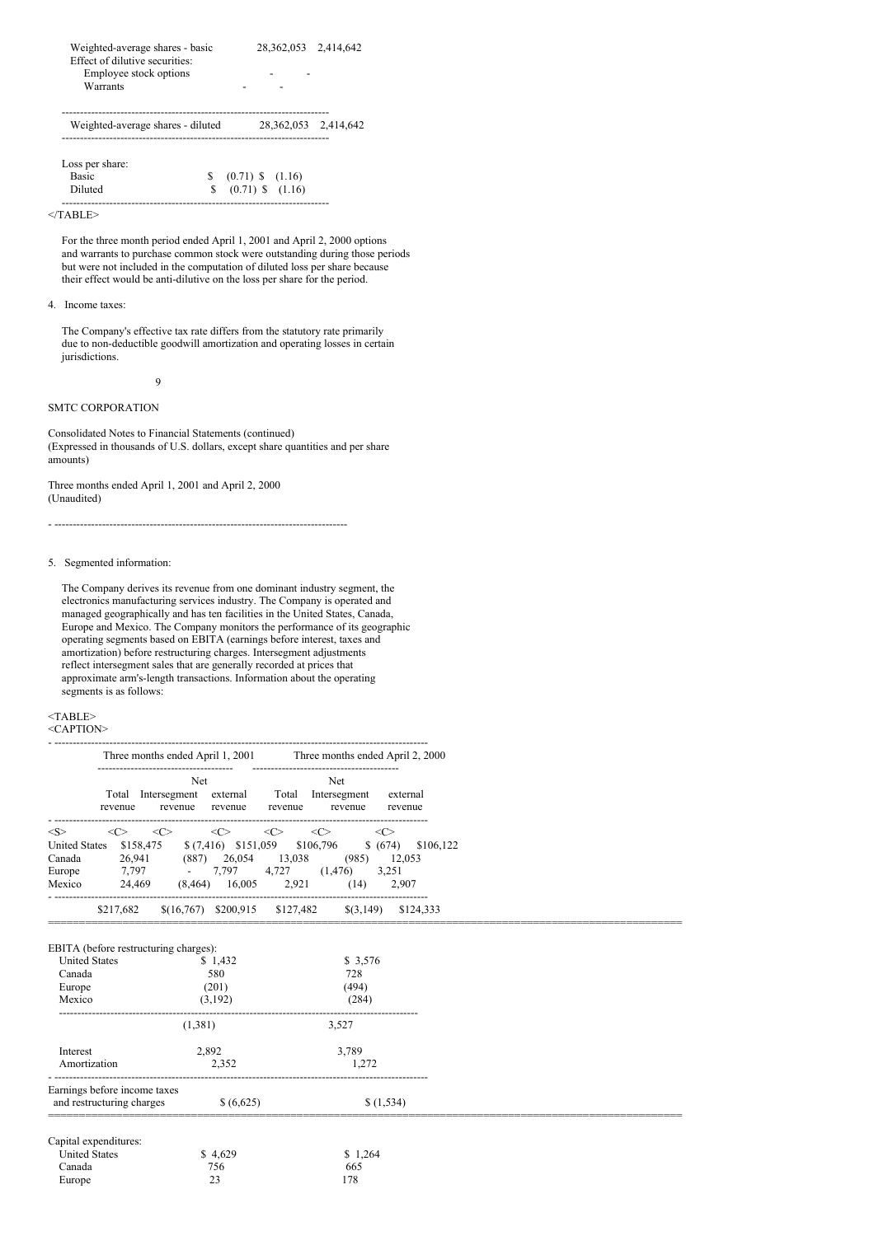| Weighted-average shares - basic<br>Effect of dilutive securities:<br>Employee stock options<br>Warrants | 28, 362, 053 2, 414, 642 |  |
|---------------------------------------------------------------------------------------------------------|--------------------------|--|
| Weighted-average shares - diluted                                                                       | 28, 362, 053 2, 414, 642 |  |

Loss per share: Basic <br>
S (0.71) \$ (1.16)<br>
Diluted <br>
S (0.71) \$ (1.16)  $(0.71)$  \$  $(1.16)$ -------------------------------------------------------------------------

 $<$ /TABLE>

For the three month period ended April 1, 2001 and April 2, 2000 options and warrants to purchase common stock were outstanding during those periods but were not included in the computation of diluted loss per share because their effect would be anti-dilutive on the loss per share for the period.

# 4. Income taxes:

The Company's effective tax rate differs from the statutory rate primarily due to non-deductible goodwill amortization and operating losses in certain jurisdictions.

 $\overline{Q}$ 

# SMTC CORPORATION

Consolidated Notes to Financial Statements (continued) (Expressed in thousands of U.S. dollars, except share quantities and per share amounts)

Three months ended April 1, 2001 and April 2, 2000 (Unaudited)

- --------------------------------------------------------------------------------

# 5. Segmented information:

The Company derives its revenue from one dominant industry segment, the electronics manufacturing services industry. The Company is operated and managed geographically and has ten facilities in the United States, Canada, Europe and Mexico. The Company monitors the performance of its geographic operating segments based on EBITA (earnings before interest, taxes and amortization) before restructuring charges. Intersegment adjustments reflect intersegment sales that are generally recorded at prices that approximate arm's-length transactions. Information about the operating segments is as follows:

# <TABLE>

<CAPTION>

|                       |                              |                                                  | Three months ended April 1, 2001 Three months ended April 2, 2000                                                                                                                                                                       |           |
|-----------------------|------------------------------|--------------------------------------------------|-----------------------------------------------------------------------------------------------------------------------------------------------------------------------------------------------------------------------------------------|-----------|
|                       |                              | <b>Net</b>                                       | Net<br>Total Intersegment external Total Intersegment external<br>revenue revenue revenue revenue revenue revenue                                                                                                                       |           |
| < S >                 |                              |                                                  | $\langle\langle\!\langle \rangle\rangle\quad\langle\langle \rangle\rangle\quad\langle\langle \rangle\quad\langle\langle \rangle\quad\langle\langle \rangle\quad\langle \langle \rangle\quad\langle \langle \rangle\quad\langle \rangle$ |           |
|                       |                              |                                                  | United States \$158,475 \$(7,416) \$151,059 \$106,796 \$(674) \$106,122                                                                                                                                                                 |           |
| Canada                |                              |                                                  | 26,941 (887) 26,054 13,038 (985) 12,053                                                                                                                                                                                                 |           |
| Europe                |                              |                                                  | 7,797 - 7,797 4,727 (1,476) 3,251<br>Mexico 24,469 (8,464) 16,005 2,921 (14) 2,907                                                                                                                                                      |           |
|                       |                              | ___________________                              | $$217,682$ $$(16,767)$ $$200,915$ $$127,482$ $$(3,149)$ $$124,333$                                                                                                                                                                      |           |
| <b>United States</b>  |                              | EBITA (before restructuring charges):<br>\$1,432 | \$3,576                                                                                                                                                                                                                                 |           |
| Canada                |                              | 580                                              | 728                                                                                                                                                                                                                                     |           |
| Europe<br>Mexico      |                              | (201)<br>(3,192)                                 | (494)<br>(284)                                                                                                                                                                                                                          |           |
|                       |                              | (1,381)                                          | 3,527                                                                                                                                                                                                                                   |           |
| Interest              |                              | 2,892                                            | 3,789                                                                                                                                                                                                                                   |           |
| Amortization          |                              | 2.352                                            | 1.272                                                                                                                                                                                                                                   |           |
|                       | Earnings before income taxes |                                                  |                                                                                                                                                                                                                                         |           |
|                       | and restructuring charges    | \$(6,625)                                        |                                                                                                                                                                                                                                         | \$(1,534) |
| Capital expenditures: |                              |                                                  |                                                                                                                                                                                                                                         |           |
| <b>United States</b>  |                              | \$4,629                                          | \$1,264                                                                                                                                                                                                                                 |           |
| Canada                |                              | 756                                              | 665                                                                                                                                                                                                                                     |           |
| Europe                |                              | 23                                               | 178                                                                                                                                                                                                                                     |           |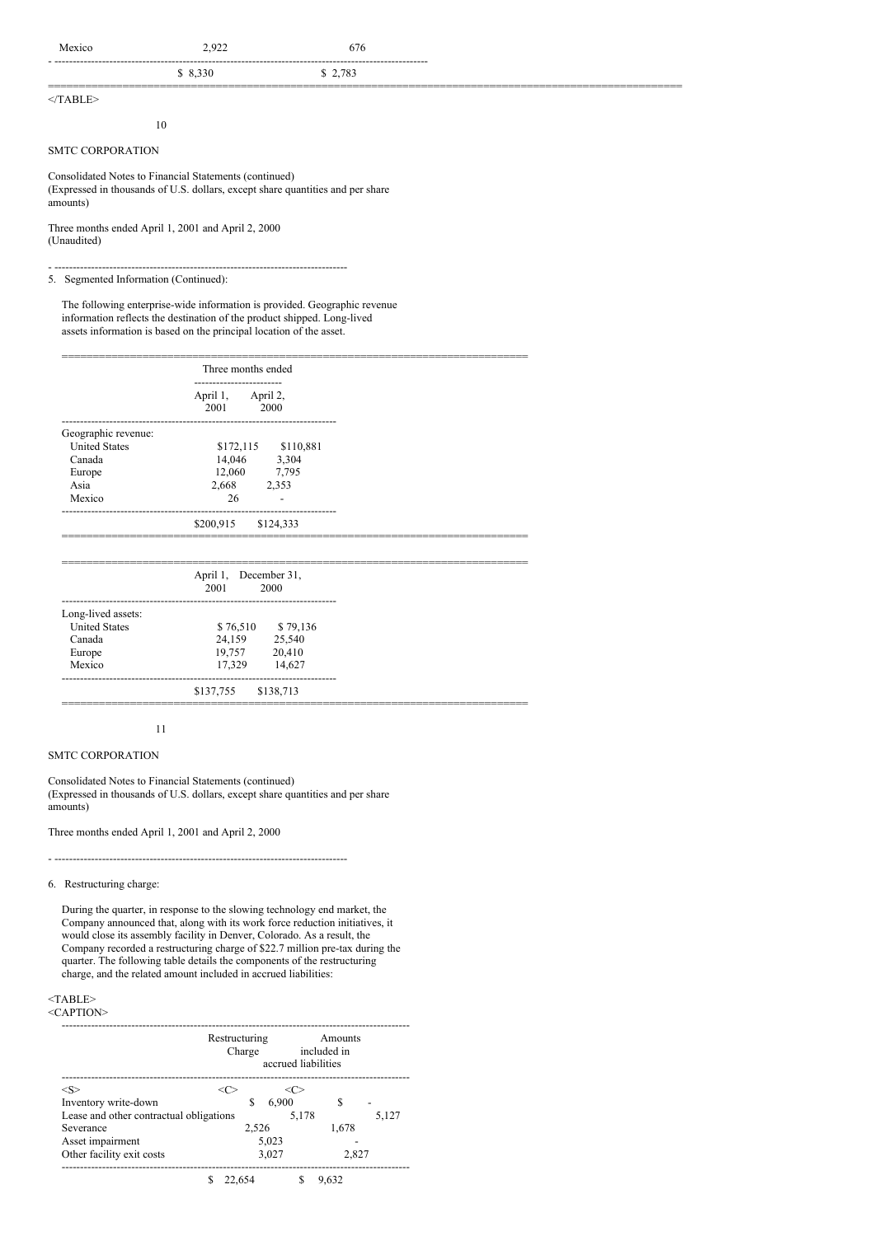| Mexico            | 2.922   | 676     |  |
|-------------------|---------|---------|--|
|                   | \$8,330 | \$2,783 |  |
| $>$ /TADID $\sim$ |         |         |  |

 $<$ TABLE>

# SMTC CORPORATION

Consolidated Notes to Financial Statements (continued) (Expressed in thousands of U.S. dollars, except share quantities and per share amounts)

Three months ended April 1, 2001 and April 2, 2000 (Unaudited)

10

- -------------------------------------------------------------------------------- 5. Segmented Information (Continued):

The following enterprise-wide information is provided. Geographic revenue information reflects the destination of the product shipped. Long-lived assets information is based on the principal location of the asset.

|                      | Three months ended             |      |
|----------------------|--------------------------------|------|
|                      | April 1, April 2,<br>2001 2000 |      |
| Geographic revenue:  |                                |      |
| <b>United States</b> | \$172,115 \$110,881            |      |
| Canada               | 14,046 3,304                   |      |
| Europe               | 12,060 7,795                   |      |
| Asia                 | 2,668 2,353                    |      |
| Mexico               | 26                             |      |
|                      | \$200,915 \$124,333            |      |
|                      | April 1, December 31,          |      |
|                      | 2001                           | 2000 |
| Long-lived assets:   |                                |      |
| <b>United States</b> | \$76,510 \$79,136              |      |
| Canada               | 24,159 25,540                  |      |
| Europe               | 19,757 20,410                  |      |
| Mexico               | 17,329 14,627                  |      |

\$137,755 \$138,713 ===========================================================================

# 11

# SMTC CORPORATION

Consolidated Notes to Financial Statements (continued) (Expressed in thousands of U.S. dollars, except share quantities and per share amounts)

Three months ended April 1, 2001 and April 2, 2000

- --------------------------------------------------------------------------------

# 6. Restructuring charge:

During the quarter, in response to the slowing technology end market, the Company announced that, along with its work force reduction initiatives, it would close its assembly facility in Denver, Colorado. As a result, the Company recorded a restructuring charge of \$22.7 million pre-tax during the quarter. The following table details the components of the restructuring charge, and the related amount included in accrued liabilities:

# $<$ TABLE>

<CAPTION>

|                                         | Restructuring<br>Amounts<br>included in<br>Charge<br>accrued liabilities |       |       |       |
|-----------------------------------------|--------------------------------------------------------------------------|-------|-------|-------|
| <s></s>                                 |                                                                          | <( `> |       |       |
| Inventory write-down                    |                                                                          | 6.900 | S     |       |
| Lease and other contractual obligations |                                                                          | 5.178 |       | 5.127 |
| Severance                               | 2.526                                                                    |       | 1.678 |       |
| Asset impairment                        |                                                                          | 5,023 |       |       |
| Other facility exit costs               |                                                                          | 3,027 | 2.827 |       |
|                                         |                                                                          |       |       |       |

\$ 22,654 \$ 9,632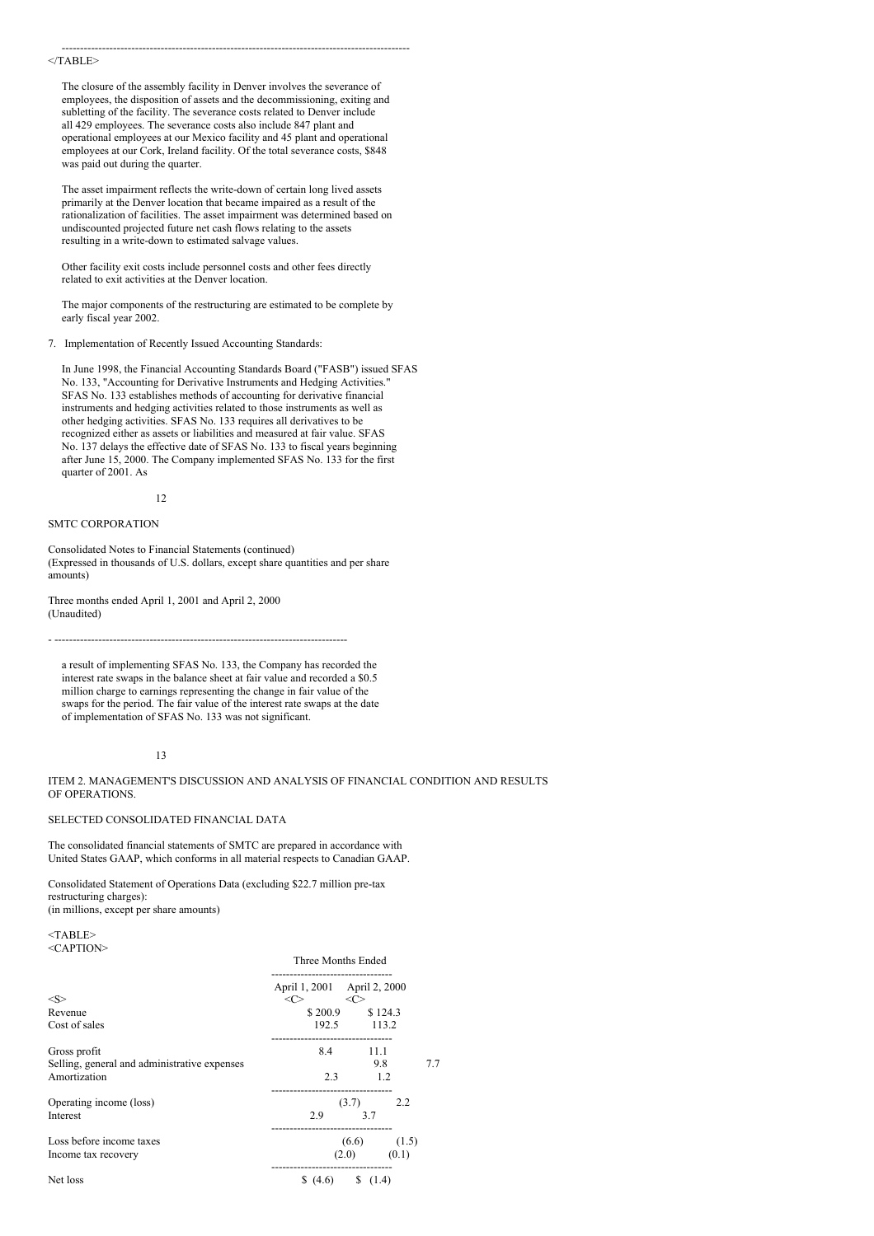#### $<$ /TABLE>

The closure of the assembly facility in Denver involves the severance of employees, the disposition of assets and the decommissioning, exiting and subletting of the facility. The severance costs related to Denver include all 429 employees. The severance costs also include 847 plant and operational employees at our Mexico facility and 45 plant and operational employees at our Cork, Ireland facility. Of the total severance costs, \$848 was paid out during the quarter.

-----------------------------------------------------------------------------------------------

The asset impairment reflects the write-down of certain long lived assets primarily at the Denver location that became impaired as a result of the rationalization of facilities. The asset impairment was determined based on undiscounted projected future net cash flows relating to the assets resulting in a write-down to estimated salvage values.

Other facility exit costs include personnel costs and other fees directly related to exit activities at the Denver location.

The major components of the restructuring are estimated to be complete by early fiscal year 2002.

# 7. Implementation of Recently Issued Accounting Standards:

In June 1998, the Financial Accounting Standards Board ("FASB") issued SFAS No. 133, "Accounting for Derivative Instruments and Hedging Activities." SFAS No. 133 establishes methods of accounting for derivative financial instruments and hedging activities related to those instruments as well as other hedging activities. SFAS No. 133 requires all derivatives to be recognized either as assets or liabilities and measured at fair value. SFAS No. 137 delays the effective date of SFAS No. 133 to fiscal years beginning after June 15, 2000. The Company implemented SFAS No. 133 for the first quarter of 2001. As

12

# SMTC CORPORATION

Consolidated Notes to Financial Statements (continued) (Expressed in thousands of U.S. dollars, except share quantities and per share amounts)

Three months ended April 1, 2001 and April 2, 2000 (Unaudited)

a result of implementing SFAS No. 133, the Company has recorded the interest rate swaps in the balance sheet at fair value and recorded a \$0.5 million charge to earnings representing the change in fair value of the swaps for the period. The fair value of the interest rate swaps at the date of implementation of SFAS No. 133 was not significant.

- --------------------------------------------------------------------------------

### 13

ITEM 2. MANAGEMENT'S DISCUSSION AND ANALYSIS OF FINANCIAL CONDITION AND RESULTS OF OPERATIONS.

### SELECTED CONSOLIDATED FINANCIAL DATA

The consolidated financial statements of SMTC are prepared in accordance with United States GAAP, which conforms in all material respects to Canadian GAAP.

Consolidated Statement of Operations Data (excluding \$22.7 million pre-tax restructuring charges): (in millions, except per share amounts)

<TABLE> <CAPTION>

|                                              | Three Months Ended                 |                 |     |  |
|----------------------------------------------|------------------------------------|-----------------|-----|--|
| $<\!\!S\!\!>$                                | April 1, 2001 April 2, 2000<br><<> | $<<$ C $>$      |     |  |
| Revenue                                      |                                    | \$200.9 \$124.3 |     |  |
| Cost of sales                                |                                    | 192.5 113.2     |     |  |
| Gross profit                                 |                                    | .<br>8.4 11.1   |     |  |
| Selling, general and administrative expenses |                                    | 9.8             | 7.7 |  |
| Amortization                                 | 2.3                                | 1.2             |     |  |
| Operating income (loss)                      |                                    | $(3.7)$ 2.2     |     |  |
| Interest                                     | 2.9                                | 3.7             |     |  |
| Loss before income taxes                     |                                    | $(6.6)$ $(1.5)$ |     |  |
| Income tax recovery                          |                                    | $(2.0)$ $(0.1)$ |     |  |
| Net loss                                     |                                    |                 |     |  |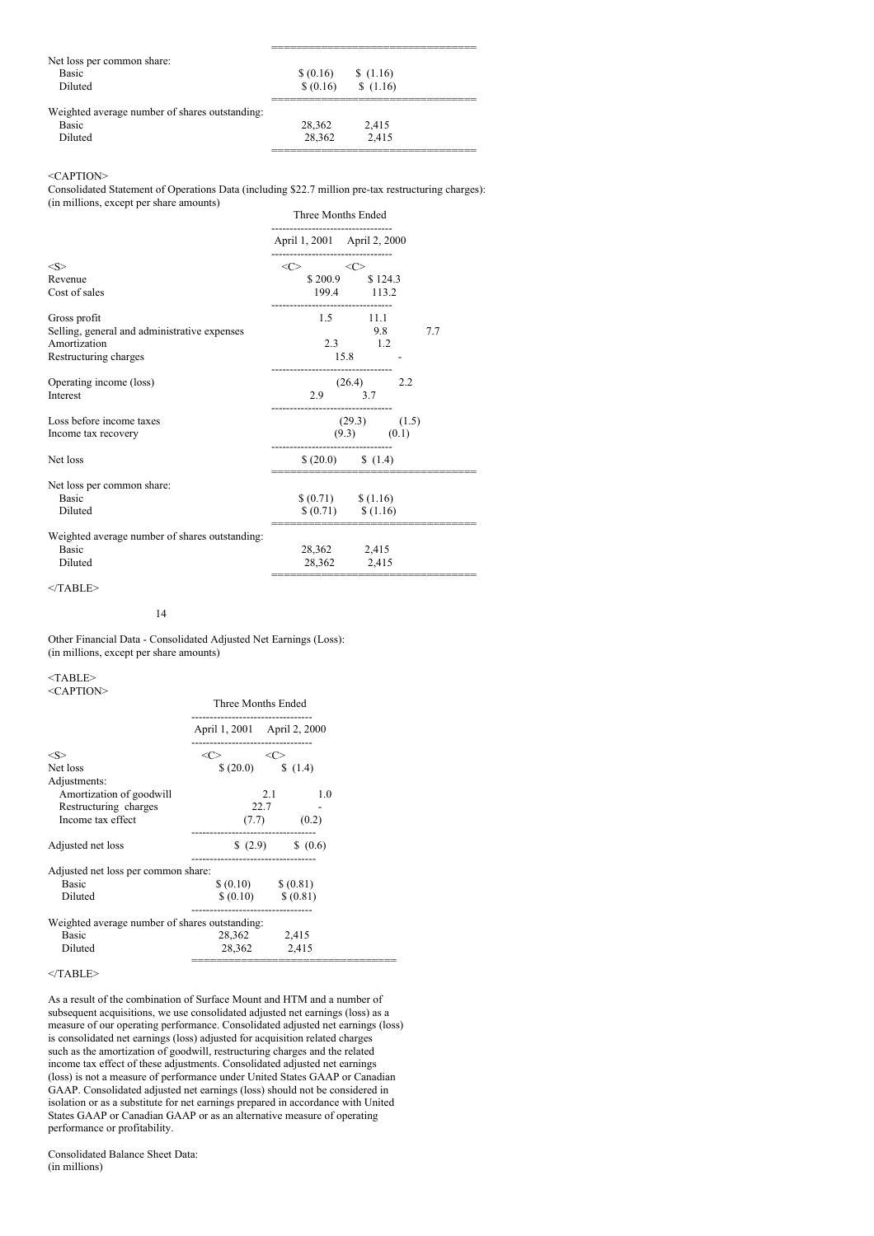| Net loss per common share:                     |                         |          |  |
|------------------------------------------------|-------------------------|----------|--|
| <b>Basic</b>                                   | $\{(0.16)$ \ $\{(1.16)$ |          |  |
| Diluted                                        | \$ (0.16)               | \$(1.16) |  |
|                                                |                         |          |  |
| Weighted average number of shares outstanding: |                         |          |  |
| <b>Basic</b>                                   | 28,362                  | 2.415    |  |
| Diluted                                        | 28.362                  | 2.415    |  |
|                                                |                         |          |  |

#### <CAPTION>

Consolidated Statement of Operations Data (including \$22.7 million pre-tax restructuring charges): (in millions, except per share amounts)

|                                                | Three Months Ended                                                |                          |     |  |
|------------------------------------------------|-------------------------------------------------------------------|--------------------------|-----|--|
|                                                | April 1, 2001 April 2, 2000                                       |                          |     |  |
| < S >                                          | ----------------------<br>$\langle C \rangle$ $\langle C \rangle$ |                          |     |  |
| Revenue                                        |                                                                   | \$200.9 \$124.3          |     |  |
| Cost of sales                                  |                                                                   | 199.4 113.2<br>          |     |  |
| Gross profit                                   |                                                                   | $1.5$ 11.1               |     |  |
| Selling, general and administrative expenses   |                                                                   | 9.8                      | 7.7 |  |
| Amortization                                   |                                                                   | $2.3$ 1.2                |     |  |
| Restructuring charges                          |                                                                   | 15.8                     |     |  |
| Operating income (loss)                        | ----------------------------                                      | $(26.4)$ 2.2             |     |  |
| Interest                                       |                                                                   | 2.9 3.7                  |     |  |
| Loss before income taxes                       |                                                                   | $(29.3)$ $(1.5)$         |     |  |
| Income tax recovery                            |                                                                   | $(9.3)$ $(0.1)$          |     |  |
| Net loss                                       |                                                                   |                          |     |  |
| Net loss per common share:                     |                                                                   |                          |     |  |
| <b>Basic</b>                                   |                                                                   | $(0.71)$ $(1.16)$        |     |  |
| Diluted                                        |                                                                   | $$(0.71) \qquad $(1.16)$ |     |  |
| Weighted average number of shares outstanding: |                                                                   |                          |     |  |
| <b>Basic</b>                                   |                                                                   | 28,362 2,415             |     |  |
| Diluted                                        |                                                                   | 28,362 2,415             |     |  |
|                                                |                                                                   |                          |     |  |

 $<$ /TABLE>

Other Financial Data - Consolidated Adjusted Net Earnings (Loss): (in millions, except per share amounts)

 $<$ TABLE> <CAPTION>

|                                                | Three Months Ended                                                        |                            |  |  |
|------------------------------------------------|---------------------------------------------------------------------------|----------------------------|--|--|
|                                                | -------------------------------<br>April 1, 2001 April 2, 2000            |                            |  |  |
| $<\!\!S\!\!>$                                  | ------------------------------<br>$\langle C \rangle$ $\langle C \rangle$ |                            |  |  |
| Net loss                                       |                                                                           | $(20.0)$ $(1.4)$           |  |  |
| Adjustments:                                   |                                                                           |                            |  |  |
| Amortization of goodwill                       |                                                                           | 2.1 1.0                    |  |  |
| Restructuring charges                          |                                                                           | 22.7                       |  |  |
| Income tax effect                              |                                                                           | $(7.7)$ $(0.2)$            |  |  |
| Adjusted net loss                              | ------------------------------                                            | $(2.9)$ $(0.6)$            |  |  |
| Adjusted net loss per common share:            |                                                                           |                            |  |  |
| Basic                                          |                                                                           | $(0.10)$ $(0.81)$          |  |  |
| Diluted                                        |                                                                           | $$ (0.10) \qquad $ (0.81)$ |  |  |
| Weighted average number of shares outstanding: |                                                                           |                            |  |  |
| <b>Basic</b>                                   |                                                                           | 28,362 2,415               |  |  |
| Diluted                                        |                                                                           | 28,362 2,415               |  |  |
|                                                |                                                                           |                            |  |  |

 $<$ /TABLE>

As a result of the combination of Surface Mount and HTM and a number of subsequent acquisitions, we use consolidated adjusted net earnings (loss) as a measure of our operating performance. Consolidated adjusted net earnings (loss) is consolidated net earnings (loss) adjusted for acquisition related charges such as the amortization of goodwill, restructuring charges and the related income tax effect of these adjustments. Consolidated adjusted net earnings (loss) is not a measure of performance under United States GAAP or Canadian GAAP. Consolidated adjusted net earnings (loss) should not be considered in isolation or as a substitute for net earnings prepared in accordance with United States GAAP or Canadian GAAP or as an alternative measure of operating performance or profitability.

Consolidated Balance Sheet Data: (in millions)

<sup>14</sup>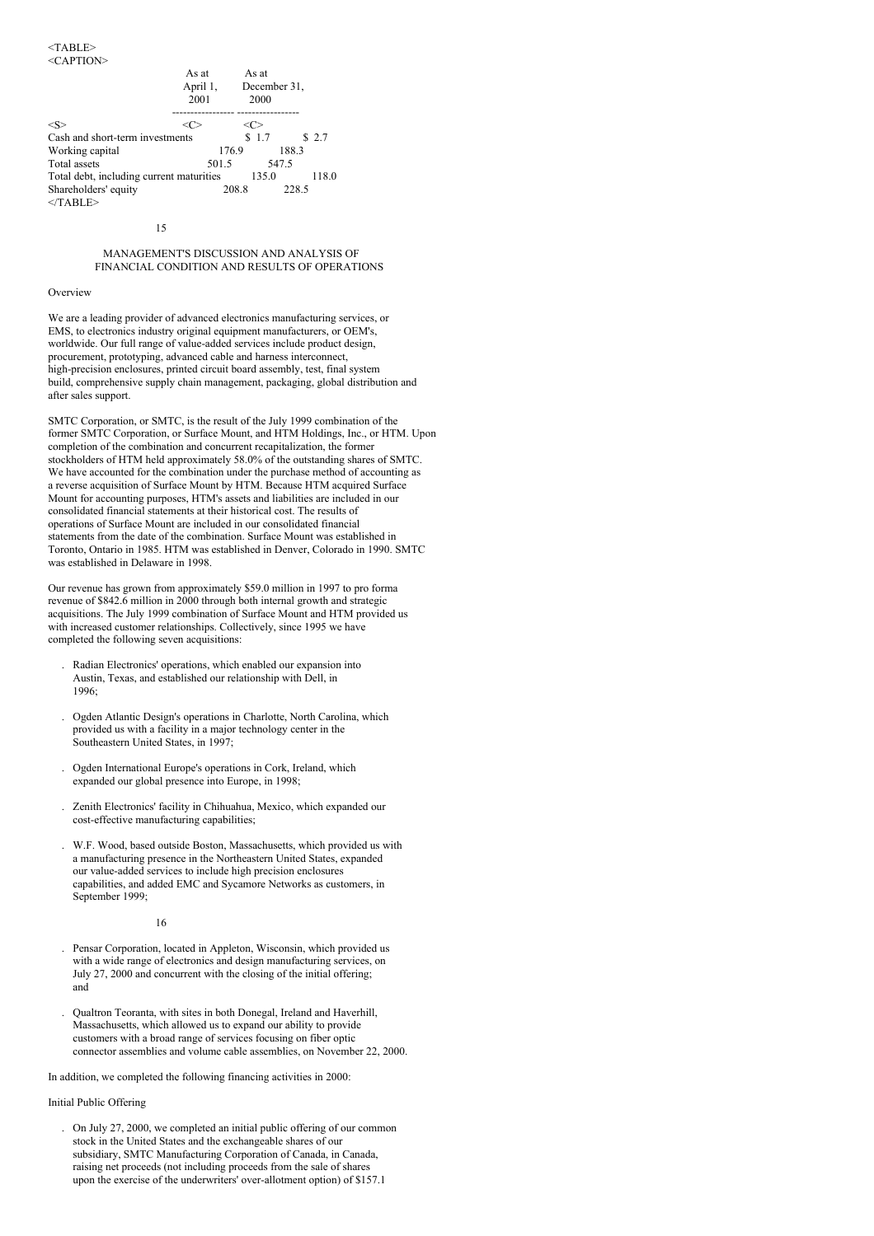|                                          | As at<br>April 1,<br>2001 | As at<br>2000 | December 31, |
|------------------------------------------|---------------------------|---------------|--------------|
| <s></s>                                  |                           |               |              |
| Cash and short-term investments          |                           | \$1.7         | \$2.7        |
| Working capital                          |                           | 176.9         | 188.3        |
| Total assets                             | 501.5                     |               | 547.5        |
| Total debt, including current maturities |                           | 135.0         | 118.0        |
| Shareholders' equity<br>$<$ TABLE>       |                           | 208.8         | 228.5        |

15

# MANAGEMENT'S DISCUSSION AND ANALYSIS OF FINANCIAL CONDITION AND RESULTS OF OPERATIONS

#### Overview

We are a leading provider of advanced electronics manufacturing services, or EMS, to electronics industry original equipment manufacturers, or OEM's, worldwide. Our full range of value-added services include product design, procurement, prototyping, advanced cable and harness interconnect, high-precision enclosures, printed circuit board assembly, test, final system build, comprehensive supply chain management, packaging, global distribution and after sales support.

SMTC Corporation, or SMTC, is the result of the July 1999 combination of the former SMTC Corporation, or Surface Mount, and HTM Holdings, Inc., or HTM. Upon completion of the combination and concurrent recapitalization, the former stockholders of HTM held approximately 58.0% of the outstanding shares of SMTC. We have accounted for the combination under the purchase method of accounting as a reverse acquisition of Surface Mount by HTM. Because HTM acquired Surface Mount for accounting purposes, HTM's assets and liabilities are included in our consolidated financial statements at their historical cost. The results of operations of Surface Mount are included in our consolidated financial statements from the date of the combination. Surface Mount was established in Toronto, Ontario in 1985. HTM was established in Denver, Colorado in 1990. SMTC was established in Delaware in 1998.

Our revenue has grown from approximately \$59.0 million in 1997 to pro forma revenue of \$842.6 million in 2000 through both internal growth and strategic acquisitions. The July 1999 combination of Surface Mount and HTM provided us with increased customer relationships. Collectively, since 1995 we have completed the following seven acquisitions:

- . Radian Electronics' operations, which enabled our expansion into Austin, Texas, and established our relationship with Dell, in 1996;
- . Ogden Atlantic Design's operations in Charlotte, North Carolina, which provided us with a facility in a major technology center in the Southeastern United States, in 1997;
- . Ogden International Europe's operations in Cork, Ireland, which expanded our global presence into Europe, in 1998;
- . Zenith Electronics' facility in Chihuahua, Mexico, which expanded our cost-effective manufacturing capabilities;
- . W.F. Wood, based outside Boston, Massachusetts, which provided us with a manufacturing presence in the Northeastern United States, expanded our value-added services to include high precision enclosures capabilities, and added EMC and Sycamore Networks as customers, in September 1999:

#### 16

- . Pensar Corporation, located in Appleton, Wisconsin, which provided us with a wide range of electronics and design manufacturing services, on July 27, 2000 and concurrent with the closing of the initial offering; and
- . Qualtron Teoranta, with sites in both Donegal, Ireland and Haverhill, Massachusetts, which allowed us to expand our ability to provide customers with a broad range of services focusing on fiber optic connector assemblies and volume cable assemblies, on November 22, 2000.

In addition, we completed the following financing activities in 2000:

Initial Public Offering

. On July 27, 2000, we completed an initial public offering of our common stock in the United States and the exchangeable shares of our subsidiary, SMTC Manufacturing Corporation of Canada, in Canada, raising net proceeds (not including proceeds from the sale of shares upon the exercise of the underwriters' over-allotment option) of \$157.1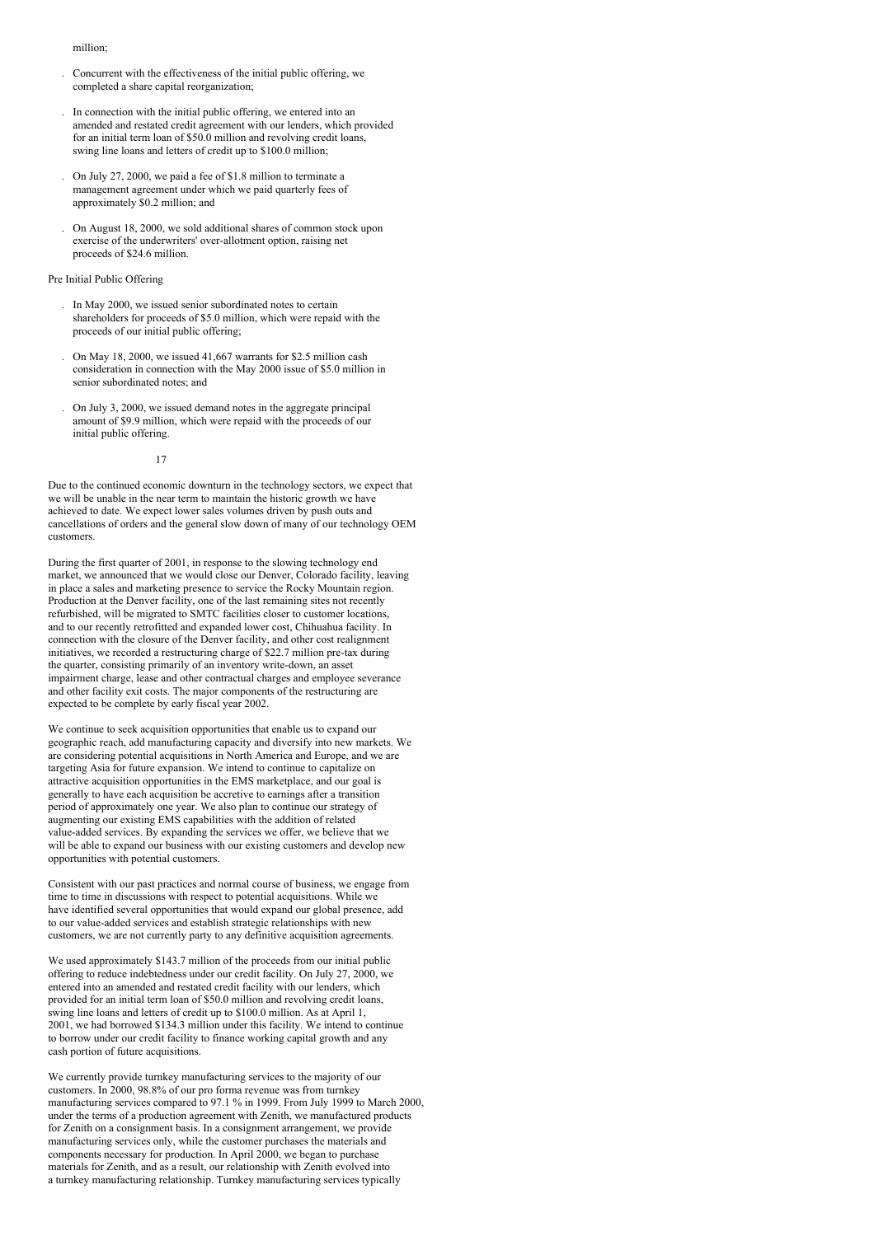#### million;

- . Concurrent with the effectiveness of the initial public offering, we completed a share capital reorganization;
- . In connection with the initial public offering, we entered into an amended and restated credit agreement with our lenders, which provided for an initial term loan of \$50.0 million and revolving credit loans, swing line loans and letters of credit up to \$100.0 million;
- . On July 27, 2000, we paid a fee of \$1.8 million to terminate a management agreement under which we paid quarterly fees of approximately \$0.2 million; and
- . On August 18, 2000, we sold additional shares of common stock upon exercise of the underwriters' over-allotment option, raising net proceeds of \$24.6 million.

#### Pre Initial Public Offering

- . In May 2000, we issued senior subordinated notes to certain shareholders for proceeds of \$5.0 million, which were repaid with the proceeds of our initial public offering;
- . On May 18, 2000, we issued 41,667 warrants for \$2.5 million cash consideration in connection with the May 2000 issue of \$5.0 million in senior subordinated notes; and
- . On July 3, 2000, we issued demand notes in the aggregate principal amount of \$9.9 million, which were repaid with the proceeds of our initial public offering.

17

Due to the continued economic downturn in the technology sectors, we expect that we will be unable in the near term to maintain the historic growth we have achieved to date. We expect lower sales volumes driven by push outs and cancellations of orders and the general slow down of many of our technology OEM customers.

During the first quarter of 2001, in response to the slowing technology end market, we announced that we would close our Denver, Colorado facility, leaving in place a sales and marketing presence to service the Rocky Mountain region. Production at the Denver facility, one of the last remaining sites not recently refurbished, will be migrated to SMTC facilities closer to customer locations, and to our recently retrofitted and expanded lower cost, Chihuahua facility. In connection with the closure of the Denver facility, and other cost realignment initiatives, we recorded a restructuring charge of \$22.7 million pre-tax during the quarter, consisting primarily of an inventory write-down, an asset impairment charge, lease and other contractual charges and employee severance and other facility exit costs. The major components of the restructuring are expected to be complete by early fiscal year 2002.

We continue to seek acquisition opportunities that enable us to expand our geographic reach, add manufacturing capacity and diversify into new markets. We are considering potential acquisitions in North America and Europe, and we are targeting Asia for future expansion. We intend to continue to capitalize on attractive acquisition opportunities in the EMS marketplace, and our goal is generally to have each acquisition be accretive to earnings after a transition period of approximately one year. We also plan to continue our strategy of augmenting our existing EMS capabilities with the addition of related value-added services. By expanding the services we offer, we believe that we will be able to expand our business with our existing customers and develop new opportunities with potential customers.

Consistent with our past practices and normal course of business, we engage from time to time in discussions with respect to potential acquisitions. While we have identified several opportunities that would expand our global presence, add to our value-added services and establish strategic relationships with new customers, we are not currently party to any definitive acquisition agreements.

We used approximately \$143.7 million of the proceeds from our initial public offering to reduce indebtedness under our credit facility. On July 27, 2000, we entered into an amended and restated credit facility with our lenders, which provided for an initial term loan of \$50.0 million and revolving credit loans, swing line loans and letters of credit up to \$100.0 million. As at April 1, 2001, we had borrowed \$134.3 million under this facility. We intend to continue to borrow under our credit facility to finance working capital growth and any cash portion of future acquisitions.

We currently provide turnkey manufacturing services to the majority of our customers. In 2000, 98.8% of our pro forma revenue was from turnkey manufacturing services compared to 97.1 % in 1999. From July 1999 to March 2000, under the terms of a production agreement with Zenith, we manufactured products for Zenith on a consignment basis. In a consignment arrangement, we provide manufacturing services only, while the customer purchases the materials and components necessary for production. In April  $2000$ , we began to purchase materials for Zenith, and as a result, our relationship with Zenith evolved into a turnkey manufacturing relationship. Turnkey manufacturing services typically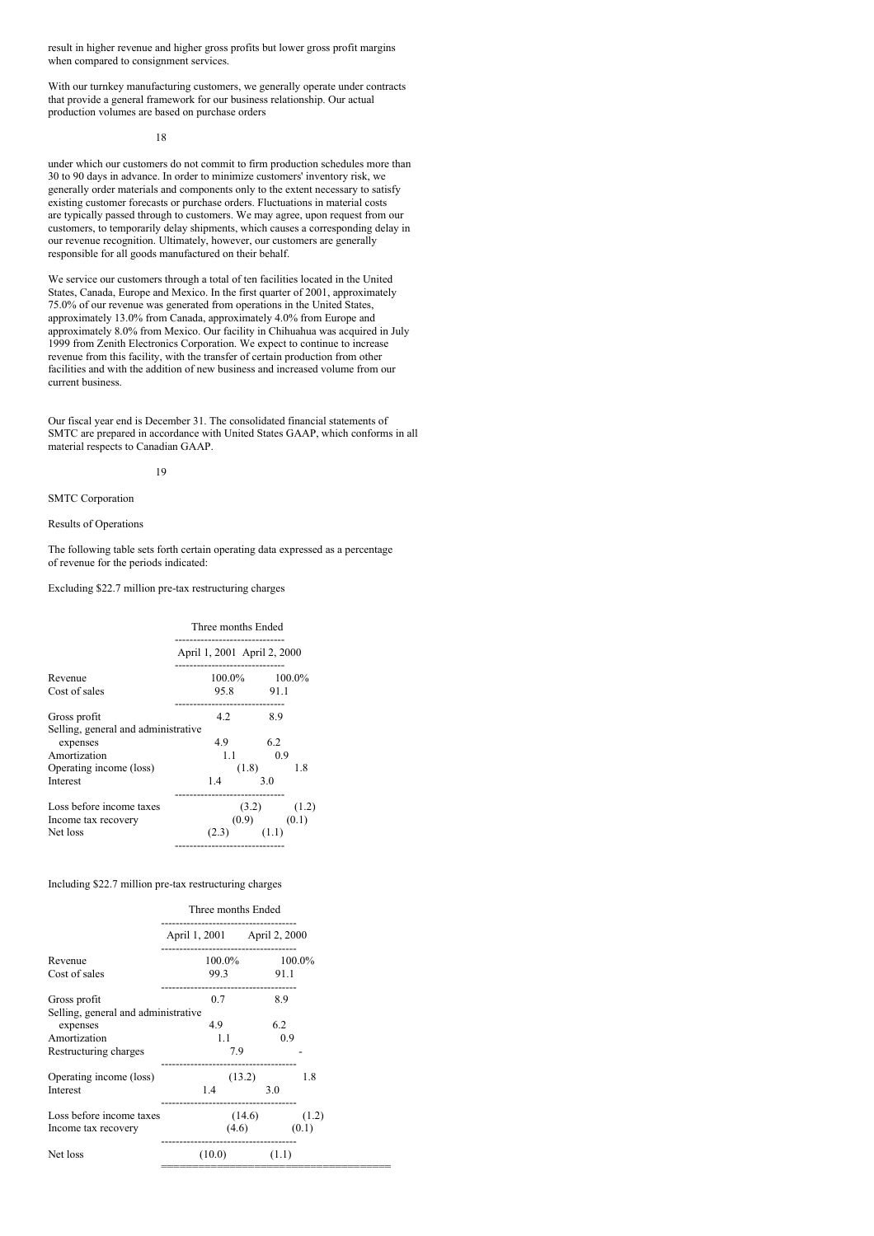result in higher revenue and higher gross profits but lower gross profit margins when compared to consignment services.

With our turnkey manufacturing customers, we generally operate under contracts that provide a general framework for our business relationship. Our actual production volumes are based on purchase orders

18

under which our customers do not commit to firm production schedules more than 30 to 90 days in advance. In order to minimize customers' inventory risk, we generally order materials and components only to the extent necessary to satisfy existing customer forecasts or purchase orders. Fluctuations in material costs are typically passed through to customers. We may agree, upon request from our customers, to temporarily delay shipments, which causes a corresponding delay in our revenue recognition. Ultimately, however, our customers are generally responsible for all goods manufactured on their behalf.

We service our customers through a total of ten facilities located in the United States, Canada, Europe and Mexico. In the first quarter of 2001, approximately 75.0% of our revenue was generated from operations in the United States, approximately 13.0% from Canada, approximately 4.0% from Europe and approximately 8.0% from Mexico. Our facility in Chihuahua was acquired in July 1999 from Zenith Electronics Corporation. We expect to continue to increase revenue from this facility, with the transfer of certain production from other facilities and with the addition of new business and increased volume from our current business.

Our fiscal year end is December 31. The consolidated financial statements of SMTC are prepared in accordance with United States GAAP, which conforms in all material respects to Canadian GAAP.

19

SMTC Corporation

Results of Operations

The following table sets forth certain operating data expressed as a percentage of revenue for the periods indicated:

Excluding \$22.7 million pre-tax restructuring charges

| Three months Ended                  |                 |  |  |
|-------------------------------------|-----------------|--|--|
| April 1, 2001 April 2, 2000         |                 |  |  |
| $100.0\%$ $100.0\%$                 |                 |  |  |
|                                     | 95.8 91.1       |  |  |
| 42                                  | 8.9             |  |  |
| Selling, general and administrative | 6.2             |  |  |
| $1.1 -$                             | 0.9             |  |  |
|                                     | 1.8<br>(1.8)    |  |  |
| 1.4                                 | 3.0             |  |  |
|                                     | $(3.2)$ $(1.2)$ |  |  |
|                                     | $(0.9)$ $(0.1)$ |  |  |
| (2.3)<br>-------------              | (1.1)           |  |  |
|                                     | 4.9             |  |  |

# Including \$22.7 million pre-tax restructuring charges

|                                     | Three months Ended           |                     |     |                  |
|-------------------------------------|------------------------------|---------------------|-----|------------------|
|                                     | April 1, 2001 April 2, 2000  |                     |     |                  |
| Revenue                             | ---------------------------- | $100.0\%$ $100.0\%$ |     |                  |
| Cost of sales                       | 99.3 91.1                    |                     |     |                  |
| Gross profit                        | 0.7                          |                     | 8.9 |                  |
| Selling, general and administrative |                              |                     |     |                  |
| expenses                            | 4.9                          |                     | 6.2 |                  |
| Amortization                        | 1.1                          |                     | 0.9 |                  |
| Restructuring charges               |                              | 7.9                 |     |                  |
| Operating income (loss)             |                              | (13.2)              |     | 1.8              |
| Interest                            | 1.4                          |                     | 3.0 |                  |
| Loss before income taxes            |                              |                     |     | $(14.6)$ $(1.2)$ |
| Income tax recovery                 |                              | $(4.6)$ $(0.1)$     |     |                  |
| Net loss                            |                              | $(10.0)$ $(1.1)$    |     |                  |
|                                     |                              |                     |     |                  |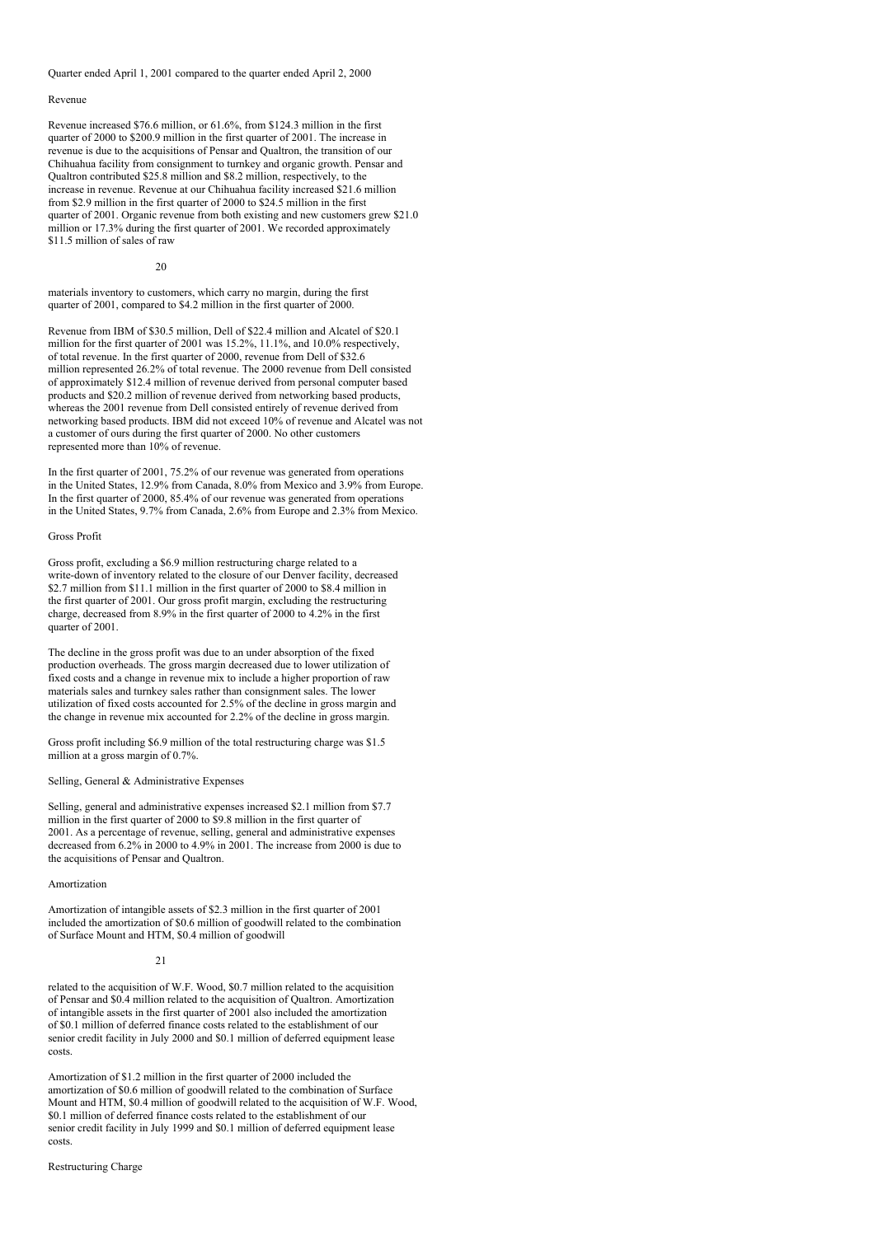Quarter ended April 1, 2001 compared to the quarter ended April 2, 2000

#### Revenue

Revenue increased \$76.6 million, or 61.6%, from \$124.3 million in the first quarter of 2000 to \$200.9 million in the first quarter of 2001. The increase in revenue is due to the acquisitions of Pensar and Qualtron, the transition of our Chihuahua facility from consignment to turnkey and organic growth. Pensar and Qualtron contributed \$25.8 million and \$8.2 million, respectively, to the increase in revenue. Revenue at our Chihuahua facility increased \$21.6 million from \$2.9 million in the first quarter of 2000 to \$24.5 million in the first quarter of 2001. Organic revenue from both existing and new customers grew \$21.0 million or 17.3% during the first quarter of 2001. We recorded approximately \$11.5 million of sales of raw

20

materials inventory to customers, which carry no margin, during the first quarter of 2001, compared to \$4.2 million in the first quarter of 2000.

Revenue from IBM of \$30.5 million, Dell of \$22.4 million and Alcatel of \$20.1 million for the first quarter of 2001 was 15.2%, 11.1%, and 10.0% respectively, of total revenue. In the first quarter of 2000, revenue from Dell of \$32.6 million represented 26.2% of total revenue. The 2000 revenue from Dell consisted of approximately \$12.4 million of revenue derived from personal computer based products and \$20.2 million of revenue derived from networking based products, whereas the 2001 revenue from Dell consisted entirely of revenue derived from networking based products. IBM did not exceed 10% of revenue and Alcatel was not a customer of ours during the first quarter of 2000. No other customers represented more than 10% of revenue.

In the first quarter of 2001, 75.2% of our revenue was generated from operations in the United States, 12.9% from Canada, 8.0% from Mexico and 3.9% from Europe. In the first quarter of 2000, 85.4% of our revenue was generated from operations in the United States, 9.7% from Canada, 2.6% from Europe and 2.3% from Mexico.

# Gross Profit

Gross profit, excluding a \$6.9 million restructuring charge related to a write-down of inventory related to the closure of our Denver facility, decreased \$2.7 million from \$11.1 million in the first quarter of 2000 to \$8.4 million in the first quarter of 2001. Our gross profit margin, excluding the restructuring charge, decreased from 8.9% in the first quarter of 2000 to 4.2% in the first quarter of 2001.

The decline in the gross profit was due to an under absorption of the fixed production overheads. The gross margin decreased due to lower utilization of fixed costs and a change in revenue mix to include a higher proportion of raw materials sales and turnkey sales rather than consignment sales. The lower utilization of fixed costs accounted for 2.5% of the decline in gross margin and the change in revenue mix accounted for 2.2% of the decline in gross margin.

Gross profit including \$6.9 million of the total restructuring charge was \$1.5 million at a gross margin of 0.7%.

#### Selling, General & Administrative Expenses

Selling, general and administrative expenses increased \$2.1 million from \$7.7 million in the first quarter of 2000 to \$9.8 million in the first quarter of 2001. As a percentage of revenue, selling, general and administrative expenses decreased from 6.2% in 2000 to 4.9% in 2001. The increase from 2000 is due to the acquisitions of Pensar and Qualtron.

#### Amortization

Amortization of intangible assets of \$2.3 million in the first quarter of 2001 included the amortization of \$0.6 million of goodwill related to the combination of Surface Mount and HTM, \$0.4 million of goodwill

#### $21$

related to the acquisition of W.F. Wood, \$0.7 million related to the acquisition of Pensar and \$0.4 million related to the acquisition of Qualtron. Amortization of intangible assets in the first quarter of 2001 also included the amortization of \$0.1 million of deferred finance costs related to the establishment of our senior credit facility in July 2000 and \$0.1 million of deferred equipment lease costs.

Amortization of \$1.2 million in the first quarter of 2000 included the amortization of \$0.6 million of goodwill related to the combination of Surface Mount and HTM, \$0.4 million of goodwill related to the acquisition of W.F. Wood, \$0.1 million of deferred finance costs related to the establishment of our senior credit facility in July 1999 and \$0.1 million of deferred equipment lease costs.

#### Restructuring Charge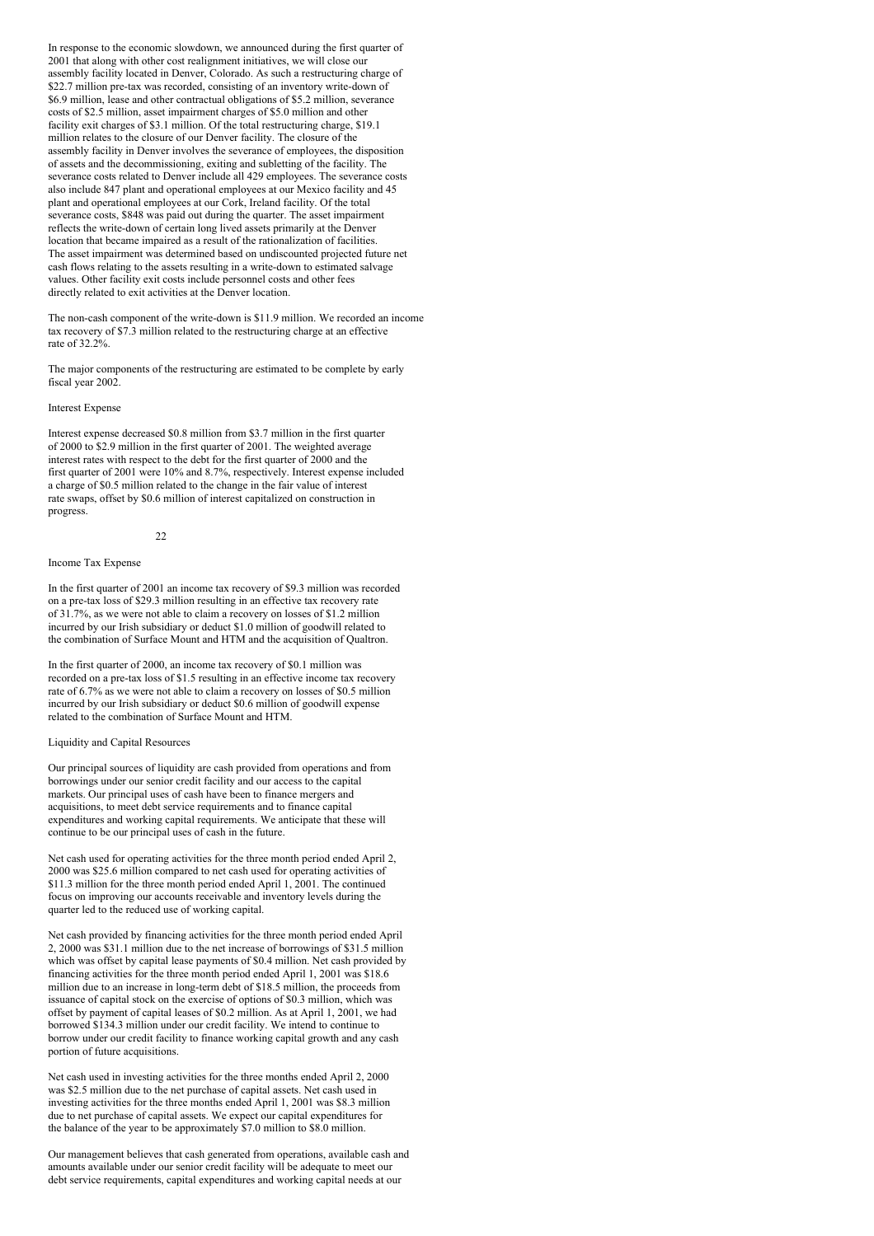In response to the economic slowdown, we announced during the first quarter of 2001 that along with other cost realignment initiatives, we will close our assembly facility located in Denver, Colorado. As such a restructuring charge of \$22.7 million pre-tax was recorded, consisting of an inventory write-down of \$6.9 million, lease and other contractual obligations of \$5.2 million, severance costs of \$2.5 million, asset impairment charges of \$5.0 million and other facility exit charges of \$3.1 million. Of the total restructuring charge, \$19.1 million relates to the closure of our Denver facility. The closure of the assembly facility in Denver involves the severance of employees, the disposition of assets and the decommissioning, exiting and subletting of the facility. The severance costs related to Denver include all 429 employees. The severance costs also include 847 plant and operational employees at our Mexico facility and 45 plant and operational employees at our Cork, Ireland facility. Of the total severance costs, \$848 was paid out during the quarter. The asset impairment reflects the write-down of certain long lived assets primarily at the Denver location that became impaired as a result of the rationalization of facilities. The asset impairment was determined based on undiscounted projected future net cash flows relating to the assets resulting in a write-down to estimated salvage values. Other facility exit costs include personnel costs and other fees directly related to exit activities at the Denver location.

The non-cash component of the write-down is \$11.9 million. We recorded an income tax recovery of \$7.3 million related to the restructuring charge at an effective rate of 32.2%.

The major components of the restructuring are estimated to be complete by early fiscal year 2002.

# Interest Expense

Interest expense decreased \$0.8 million from \$3.7 million in the first quarter of 2000 to \$2.9 million in the first quarter of 2001. The weighted average interest rates with respect to the debt for the first quarter of 2000 and the first quarter of 2001 were 10% and 8.7%, respectively. Interest expense included a charge of \$0.5 million related to the change in the fair value of interest rate swaps, offset by \$0.6 million of interest capitalized on construction in progress.

#### $22$

#### Income Tax Expense

In the first quarter of 2001 an income tax recovery of \$9.3 million was recorded on a pre-tax loss of \$29.3 million resulting in an effective tax recovery rate of 31.7%, as we were not able to claim a recovery on losses of \$1.2 million incurred by our Irish subsidiary or deduct \$1.0 million of goodwill related to the combination of Surface Mount and HTM and the acquisition of Qualtron.

In the first quarter of 2000, an income tax recovery of \$0.1 million was recorded on a pre-tax loss of \$1.5 resulting in an effective income tax recovery rate of 6.7% as we were not able to claim a recovery on losses of \$0.5 million incurred by our Irish subsidiary or deduct \$0.6 million of goodwill expense related to the combination of Surface Mount and HTM.

#### Liquidity and Capital Resources

Our principal sources of liquidity are cash provided from operations and from borrowings under our senior credit facility and our access to the capital markets. Our principal uses of cash have been to finance mergers and acquisitions, to meet debt service requirements and to finance capital expenditures and working capital requirements. We anticipate that these will continue to be our principal uses of cash in the future.

Net cash used for operating activities for the three month period ended April 2, 2000 was \$25.6 million compared to net cash used for operating activities of \$11.3 million for the three month period ended April 1, 2001. The continued focus on improving our accounts receivable and inventory levels during the quarter led to the reduced use of working capital.

Net cash provided by financing activities for the three month period ended April 2, 2000 was \$31.1 million due to the net increase of borrowings of \$31.5 million which was offset by capital lease payments of \$0.4 million. Net cash provided by financing activities for the three month period ended April 1, 2001 was \$18.6 million due to an increase in long-term debt of \$18.5 million, the proceeds from issuance of capital stock on the exercise of options of \$0.3 million, which was offset by payment of capital leases of \$0.2 million. As at April 1, 2001, we had borrowed \$134.3 million under our credit facility. We intend to continue to borrow under our credit facility to finance working capital growth and any cash portion of future acquisitions.

Net cash used in investing activities for the three months ended April 2, 2000 was \$2.5 million due to the net purchase of capital assets. Net cash used in investing activities for the three months ended April 1, 2001 was \$8.3 million due to net purchase of capital assets. We expect our capital expenditures for the balance of the year to be approximately \$7.0 million to \$8.0 million.

Our management believes that cash generated from operations, available cash and amounts available under our senior credit facility will be adequate to meet our debt service requirements, capital expenditures and working capital needs at our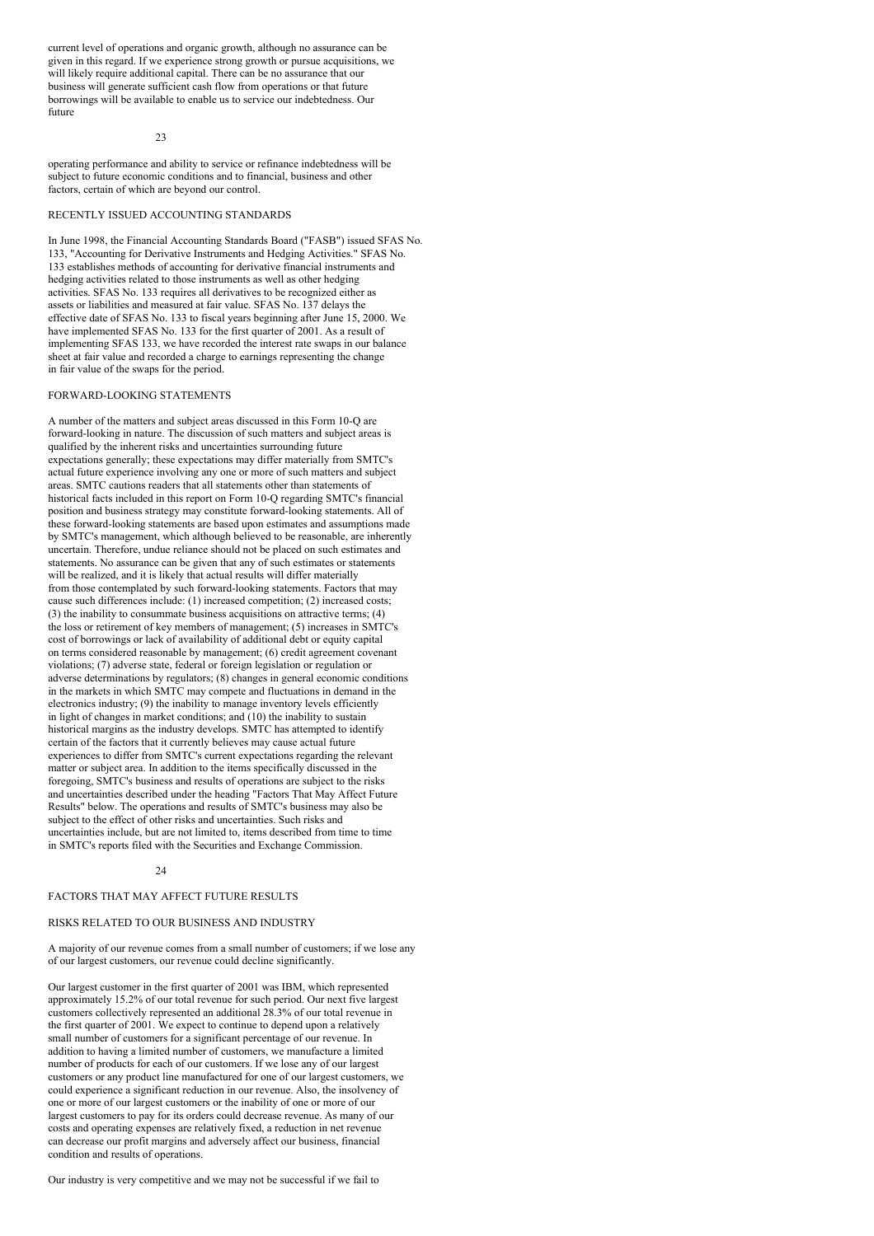current level of operations and organic growth, although no assurance can be given in this regard. If we experience strong growth or pursue acquisitions, we will likely require additional capital. There can be no assurance that our business will generate sufficient cash flow from operations or that future borrowings will be available to enable us to service our indebtedness. Our future

 $23$ 

operating performance and ability to service or refinance indebtedness will be subject to future economic conditions and to financial, business and other factors, certain of which are beyond our control.

# RECENTLY ISSUED ACCOUNTING STANDARDS

In June 1998, the Financial Accounting Standards Board ("FASB") issued SFAS No. 133, "Accounting for Derivative Instruments and Hedging Activities." SFAS No. 133 establishes methods of accounting for derivative financial instruments and hedging activities related to those instruments as well as other hedging activities. SFAS No. 133 requires all derivatives to be recognized either as assets or liabilities and measured at fair value. SFAS No. 137 delays the effective date of SFAS No. 133 to fiscal years beginning after June 15, 2000. We have implemented SFAS No. 133 for the first quarter of 2001. As a result of implementing SFAS 133, we have recorded the interest rate swaps in our balance sheet at fair value and recorded a charge to earnings representing the change in fair value of the swaps for the period.

### FORWARD-LOOKING STATEMENTS

A number of the matters and subject areas discussed in this Form 10-Q are forward-looking in nature. The discussion of such matters and subject areas is qualified by the inherent risks and uncertainties surrounding future expectations generally; these expectations may differ materially from SMTC's actual future experience involving any one or more of such matters and subject areas. SMTC cautions readers that all statements other than statements of historical facts included in this report on Form 10-Q regarding SMTC's financial position and business strategy may constitute forward-looking statements. All of these forward-looking statements are based upon estimates and assumptions made by SMTC's management, which although believed to be reasonable, are inherently uncertain. Therefore, undue reliance should not be placed on such estimates and statements. No assurance can be given that any of such estimates or statements will be realized, and it is likely that actual results will differ materially from those contemplated by such forward-looking statements. Factors that may cause such differences include: (1) increased competition; (2) increased costs; (3) the inability to consummate business acquisitions on attractive terms; (4) the loss or retirement of key members of management; (5) increases in SMTC's cost of borrowings or lack of availability of additional debt or equity capital on terms considered reasonable by management; (6) credit agreement covenant violations; (7) adverse state, federal or foreign legislation or regulation or adverse determinations by regulators; (8) changes in general economic conditions in the markets in which SMTC may compete and fluctuations in demand in the electronics industry; (9) the inability to manage inventory levels efficiently in light of changes in market conditions; and (10) the inability to sustain historical margins as the industry develops. SMTC has attempted to identify certain of the factors that it currently believes may cause actual future experiences to differ from SMTC's current expectations regarding the relevant matter or subject area. In addition to the items specifically discussed in the foregoing, SMTC's business and results of operations are subject to the risks and uncertainties described under the heading "Factors That May Affect Future Results" below. The operations and results of SMTC's business may also be subject to the effect of other risks and uncertainties. Such risks and uncertainties include, but are not limited to, items described from time to time in SMTC's reports filed with the Securities and Exchange Commission.

#### $24$

# FACTORS THAT MAY AFFECT FUTURE RESULTS

# RISKS RELATED TO OUR BUSINESS AND INDUSTRY

A majority of our revenue comes from a small number of customers; if we lose any of our largest customers, our revenue could decline significantly.

Our largest customer in the first quarter of 2001 was IBM, which represented approximately 15.2% of our total revenue for such period. Our next five largest customers collectively represented an additional 28.3% of our total revenue in the first quarter of 2001. We expect to continue to depend upon a relatively small number of customers for a significant percentage of our revenue. In addition to having a limited number of customers, we manufacture a limited number of products for each of our customers. If we lose any of our largest customers or any product line manufactured for one of our largest customers, we could experience a significant reduction in our revenue. Also, the insolvency of one or more of our largest customers or the inability of one or more of our largest customers to pay for its orders could decrease revenue. As many of our costs and operating expenses are relatively fixed, a reduction in net revenue can decrease our profit margins and adversely affect our business, financial condition and results of operations.

Our industry is very competitive and we may not be successful if we fail to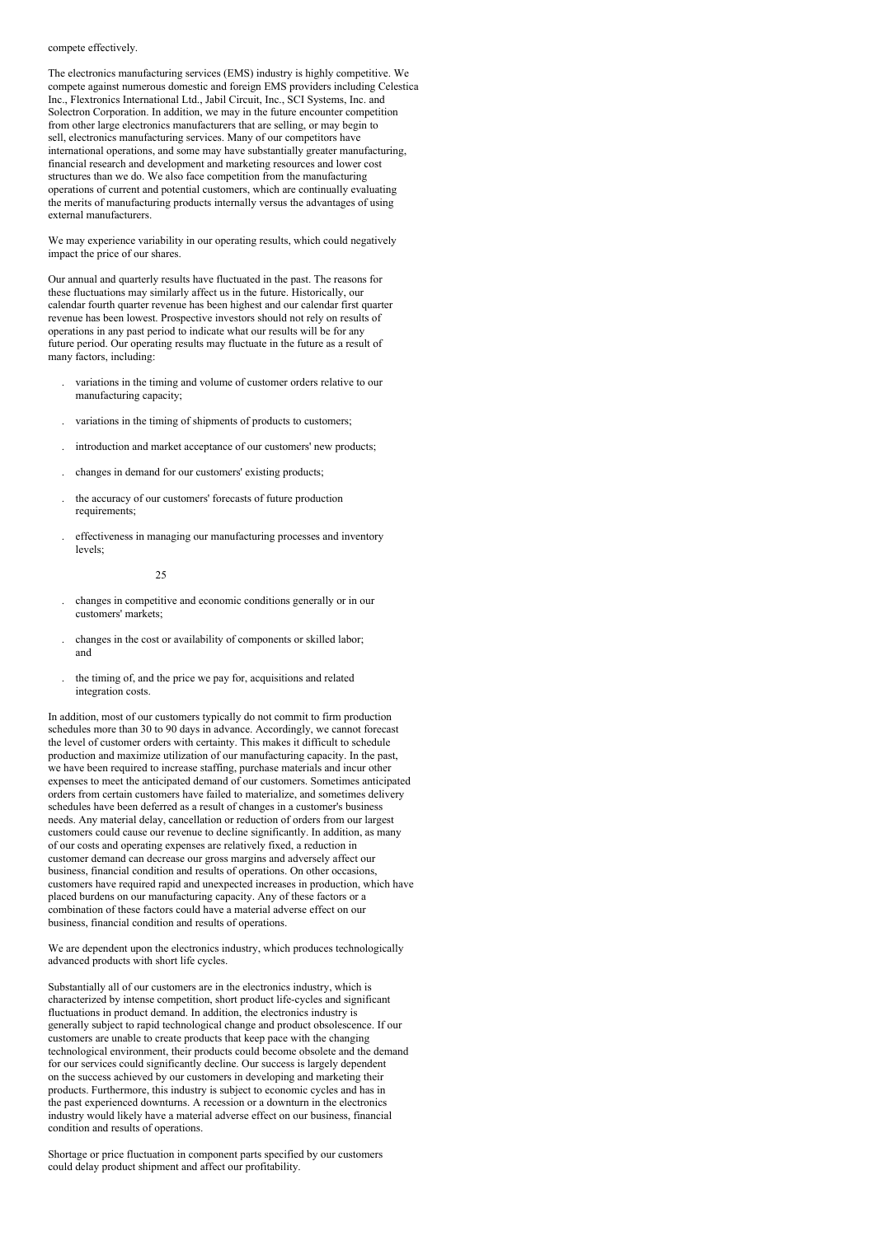#### compete effectively.

The electronics manufacturing services (EMS) industry is highly competitive. We compete against numerous domestic and foreign EMS providers including Celestica Inc., Flextronics International Ltd., Jabil Circuit, Inc., SCI Systems, Inc. and Solectron Corporation. In addition, we may in the future encounter competition from other large electronics manufacturers that are selling, or may begin to sell, electronics manufacturing services. Many of our competitors have international operations, and some may have substantially greater manufacturing, financial research and development and marketing resources and lower cost structures than we do. We also face competition from the manufacturing operations of current and potential customers, which are continually evaluating the merits of manufacturing products internally versus the advantages of using external manufacturers.

We may experience variability in our operating results, which could negatively impact the price of our shares.

Our annual and quarterly results have fluctuated in the past. The reasons for these fluctuations may similarly affect us in the future. Historically, our calendar fourth quarter revenue has been highest and our calendar first quarter revenue has been lowest. Prospective investors should not rely on results of operations in any past period to indicate what our results will be for any future period. Our operating results may fluctuate in the future as a result of many factors, including:

- . variations in the timing and volume of customer orders relative to our manufacturing capacity;
- . variations in the timing of shipments of products to customers;
- . introduction and market acceptance of our customers' new products;
- . changes in demand for our customers' existing products;
- . the accuracy of our customers' forecasts of future production requirements:
- . effectiveness in managing our manufacturing processes and inventory levels;

 $25$ 

- . changes in competitive and economic conditions generally or in our customers' markets;
- . changes in the cost or availability of components or skilled labor; and
- . the timing of, and the price we pay for, acquisitions and related integration costs.

In addition, most of our customers typically do not commit to firm production schedules more than 30 to 90 days in advance. Accordingly, we cannot forecast the level of customer orders with certainty. This makes it difficult to schedule production and maximize utilization of our manufacturing capacity. In the past, we have been required to increase staffing, purchase materials and incur other expenses to meet the anticipated demand of our customers. Sometimes anticipated orders from certain customers have failed to materialize, and sometimes delivery schedules have been deferred as a result of changes in a customer's business needs. Any material delay, cancellation or reduction of orders from our largest customers could cause our revenue to decline significantly. In addition, as many of our costs and operating expenses are relatively fixed, a reduction in customer demand can decrease our gross margins and adversely affect our business, financial condition and results of operations. On other occasions, customers have required rapid and unexpected increases in production, which have placed burdens on our manufacturing capacity. Any of these factors or a combination of these factors could have a material adverse effect on our business, financial condition and results of operations.

We are dependent upon the electronics industry, which produces technologically advanced products with short life cycles.

Substantially all of our customers are in the electronics industry, which is characterized by intense competition, short product life-cycles and significant fluctuations in product demand. In addition, the electronics industry is generally subject to rapid technological change and product obsolescence. If our customers are unable to create products that keep pace with the changing technological environment, their products could become obsolete and the demand for our services could significantly decline. Our success is largely dependent on the success achieved by our customers in developing and marketing their products. Furthermore, this industry is subject to economic cycles and has in the past experienced downturns. A recession or a downturn in the electronics industry would likely have a material adverse effect on our business, financial condition and results of operations.

Shortage or price fluctuation in component parts specified by our customers could delay product shipment and affect our profitability.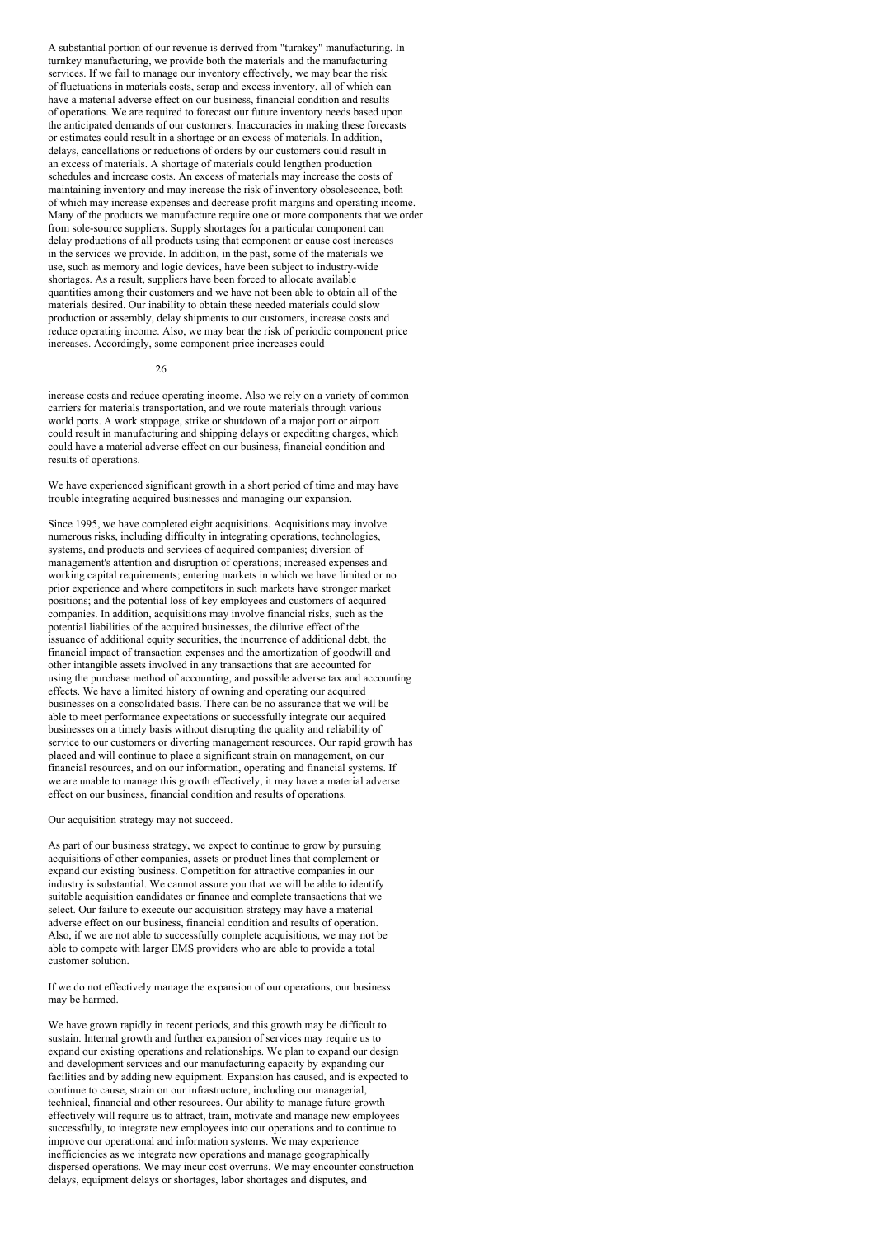A substantial portion of our revenue is derived from "turnkey" manufacturing. In turnkey manufacturing, we provide both the materials and the manufacturing services. If we fail to manage our inventory effectively, we may bear the risk of fluctuations in materials costs, scrap and excess inventory, all of which can have a material adverse effect on our business, financial condition and results of operations. We are required to forecast our future inventory needs based upon the anticipated demands of our customers. Inaccuracies in making these forecasts or estimates could result in a shortage or an excess of materials. In addition, delays, cancellations or reductions of orders by our customers could result in an excess of materials. A shortage of materials could lengthen production schedules and increase costs. An excess of materials may increase the costs of maintaining inventory and may increase the risk of inventory obsolescence, both of which may increase expenses and decrease profit margins and operating income. Many of the products we manufacture require one or more components that we order from sole-source suppliers. Supply shortages for a particular component can delay productions of all products using that component or cause cost increases in the services we provide. In addition, in the past, some of the materials we use, such as memory and logic devices, have been subject to industry-wide shortages. As a result, suppliers have been forced to allocate available quantities among their customers and we have not been able to obtain all of the materials desired. Our inability to obtain these needed materials could slow production or assembly, delay shipments to our customers, increase costs and reduce operating income. Also, we may bear the risk of periodic component price increases. Accordingly, some component price increases could

#### $26$

increase costs and reduce operating income. Also we rely on a variety of common carriers for materials transportation, and we route materials through various world ports. A work stoppage, strike or shutdown of a major port or airport could result in manufacturing and shipping delays or expediting charges, which could have a material adverse effect on our business, financial condition and results of operations.

We have experienced significant growth in a short period of time and may have trouble integrating acquired businesses and managing our expansion.

Since 1995, we have completed eight acquisitions. Acquisitions may involve numerous risks, including difficulty in integrating operations, technologies, systems, and products and services of acquired companies; diversion of management's attention and disruption of operations; increased expenses and working capital requirements; entering markets in which we have limited or no prior experience and where competitors in such markets have stronger market positions; and the potential loss of key employees and customers of acquired companies. In addition, acquisitions may involve financial risks, such as the potential liabilities of the acquired businesses, the dilutive effect of the issuance of additional equity securities, the incurrence of additional debt, the financial impact of transaction expenses and the amortization of goodwill and other intangible assets involved in any transactions that are accounted for using the purchase method of accounting, and possible adverse tax and accounting effects. We have a limited history of owning and operating our acquired businesses on a consolidated basis. There can be no assurance that we will be able to meet performance expectations or successfully integrate our acquired businesses on a timely basis without disrupting the quality and reliability of service to our customers or diverting management resources. Our rapid growth has placed and will continue to place a significant strain on management, on our financial resources, and on our information, operating and financial systems. If we are unable to manage this growth effectively, it may have a material adverse effect on our business, financial condition and results of operations.

#### Our acquisition strategy may not succeed.

As part of our business strategy, we expect to continue to grow by pursuing acquisitions of other companies, assets or product lines that complement or expand our existing business. Competition for attractive companies in our industry is substantial. We cannot assure you that we will be able to identify suitable acquisition candidates or finance and complete transactions that we select. Our failure to execute our acquisition strategy may have a material adverse effect on our business, financial condition and results of operation. Also, if we are not able to successfully complete acquisitions, we may not be able to compete with larger EMS providers who are able to provide a total customer solution.

If we do not effectively manage the expansion of our operations, our business may be harmed.

We have grown rapidly in recent periods, and this growth may be difficult to sustain. Internal growth and further expansion of services may require us to expand our existing operations and relationships. We plan to expand our design and development services and our manufacturing capacity by expanding our facilities and by adding new equipment. Expansion has caused, and is expected to continue to cause, strain on our infrastructure, including our managerial, technical, financial and other resources. Our ability to manage future growth effectively will require us to attract, train, motivate and manage new employees successfully, to integrate new employees into our operations and to continue to improve our operational and information systems. We may experience inefficiencies as we integrate new operations and manage geographically dispersed operations. We may incur cost overruns. We may encounter construction delays, equipment delays or shortages, labor shortages and disputes, and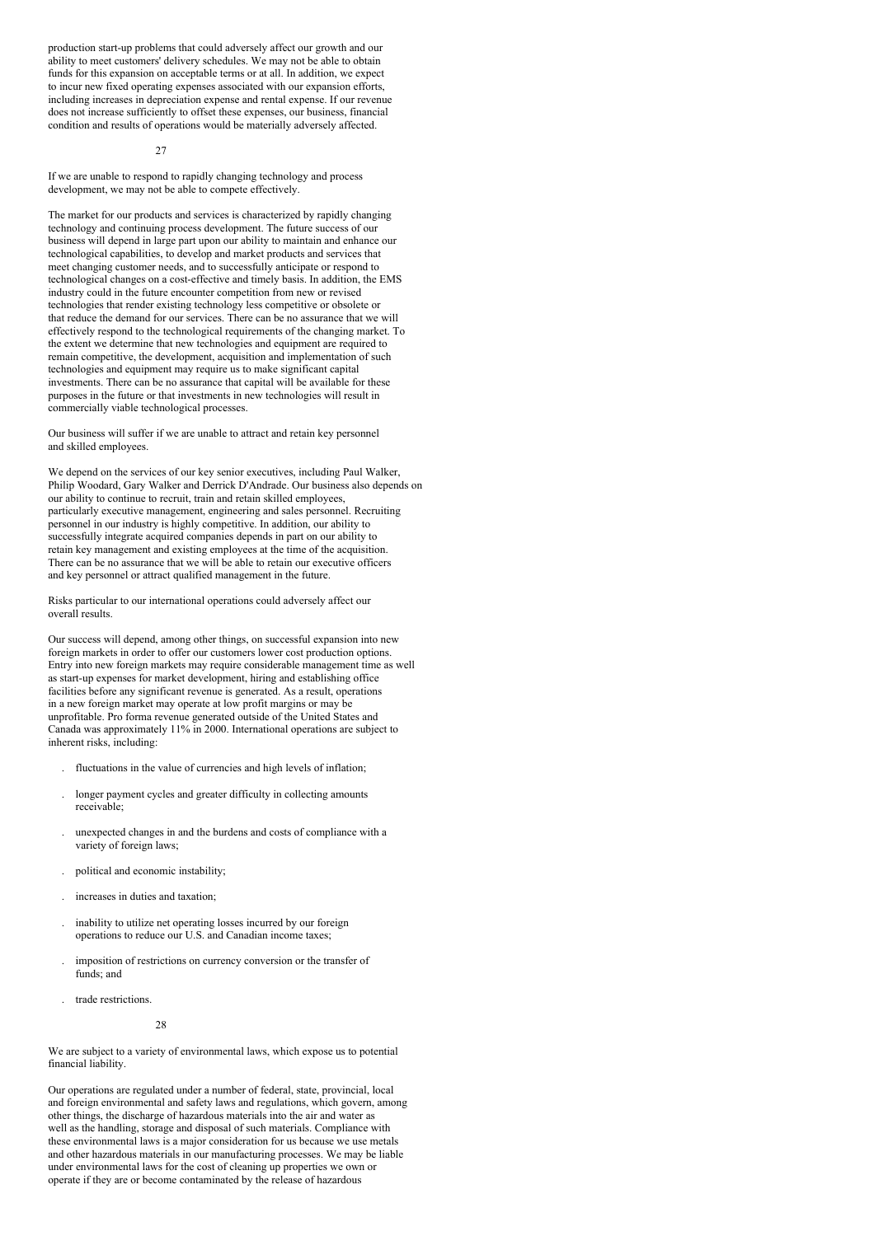production start-up problems that could adversely affect our growth and our ability to meet customers' delivery schedules. We may not be able to obtain funds for this expansion on acceptable terms or at all. In addition, we expect to incur new fixed operating expenses associated with our expansion efforts, including increases in depreciation expense and rental expense. If our revenue does not increase sufficiently to offset these expenses, our business, financial condition and results of operations would be materially adversely affected.

#### $27$

If we are unable to respond to rapidly changing technology and process development, we may not be able to compete effectively.

The market for our products and services is characterized by rapidly changing technology and continuing process development. The future success of our business will depend in large part upon our ability to maintain and enhance our technological capabilities, to develop and market products and services that meet changing customer needs, and to successfully anticipate or respond to technological changes on a cost-effective and timely basis. In addition, the EMS industry could in the future encounter competition from new or revised technologies that render existing technology less competitive or obsolete or that reduce the demand for our services. There can be no assurance that we will effectively respond to the technological requirements of the changing market. To the extent we determine that new technologies and equipment are required to remain competitive, the development, acquisition and implementation of such technologies and equipment may require us to make significant capital investments. There can be no assurance that capital will be available for these purposes in the future or that investments in new technologies will result in commercially viable technological processes.

Our business will suffer if we are unable to attract and retain key personnel and skilled employees.

We depend on the services of our key senior executives, including Paul Walker, Philip Woodard, Gary Walker and Derrick D'Andrade. Our business also depends on our ability to continue to recruit, train and retain skilled employees, particularly executive management, engineering and sales personnel. Recruiting personnel in our industry is highly competitive. In addition, our ability to successfully integrate acquired companies depends in part on our ability to retain key management and existing employees at the time of the acquisition. There can be no assurance that we will be able to retain our executive officers and key personnel or attract qualified management in the future.

Risks particular to our international operations could adversely affect our overall results.

Our success will depend, among other things, on successful expansion into new foreign markets in order to offer our customers lower cost production options. Entry into new foreign markets may require considerable management time as well as start-up expenses for market development, hiring and establishing office facilities before any significant revenue is generated. As a result, operations in a new foreign market may operate at low profit margins or may be unprofitable. Pro forma revenue generated outside of the United States and Canada was approximately 11% in 2000. International operations are subject to inherent risks, including:

- . fluctuations in the value of currencies and high levels of inflation;
- . longer payment cycles and greater difficulty in collecting amounts receivable;
- . unexpected changes in and the burdens and costs of compliance with a variety of foreign laws;
- . political and economic instability;
- . increases in duties and taxation;
- . inability to utilize net operating losses incurred by our foreign operations to reduce our U.S. and Canadian income taxes;
- . imposition of restrictions on currency conversion or the transfer of funds; and
- . trade restrictions.

#### 28

We are subject to a variety of environmental laws, which expose us to potential financial liability.

Our operations are regulated under a number of federal, state, provincial, local and foreign environmental and safety laws and regulations, which govern, among other things, the discharge of hazardous materials into the air and water as well as the handling, storage and disposal of such materials. Compliance with these environmental laws is a major consideration for us because we use metals and other hazardous materials in our manufacturing processes. We may be liable under environmental laws for the cost of cleaning up properties we own or operate if they are or become contaminated by the release of hazardous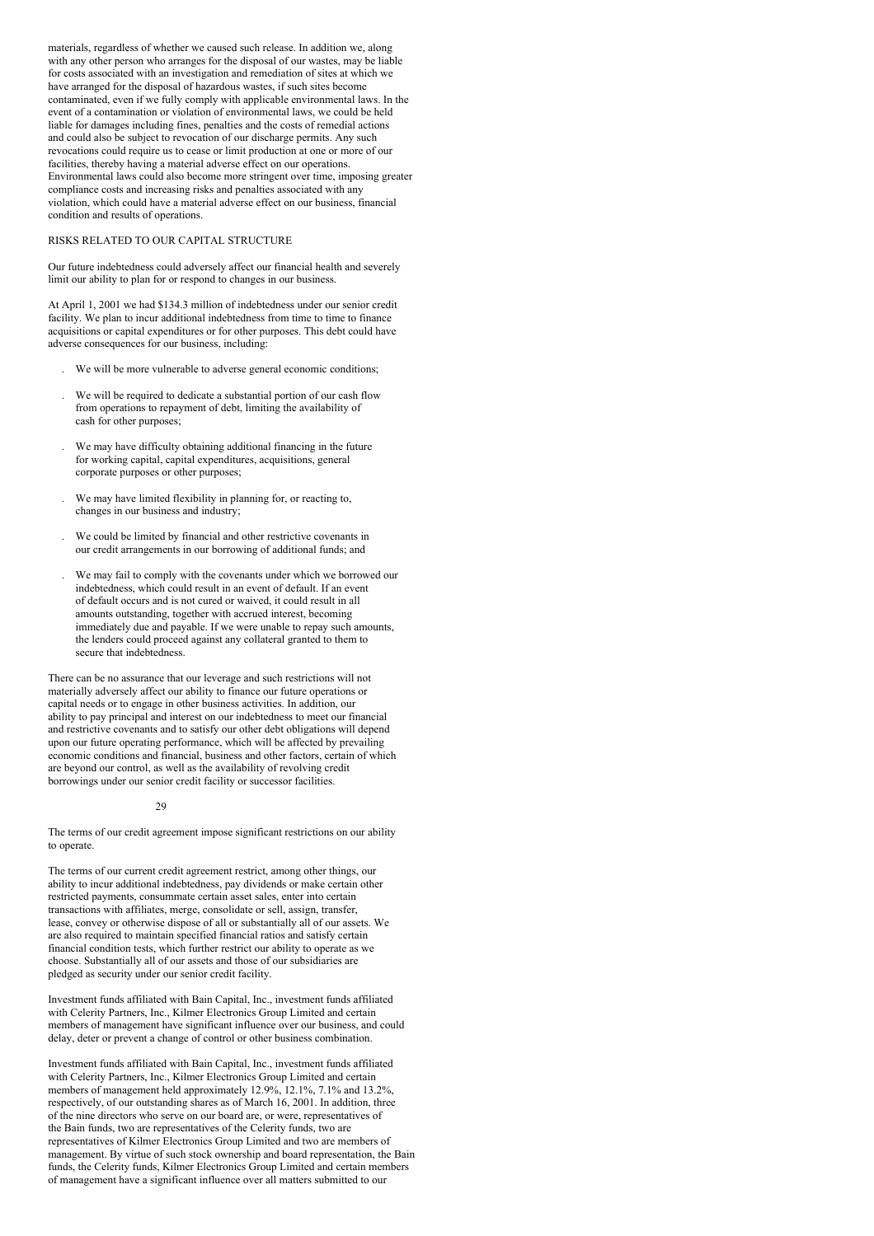materials, regardless of whether we caused such release. In addition we, along with any other person who arranges for the disposal of our wastes, may be liable for costs associated with an investigation and remediation of sites at which we have arranged for the disposal of hazardous wastes, if such sites become contaminated, even if we fully comply with applicable environmental laws. In the event of a contamination or violation of environmental laws, we could be held liable for damages including fines, penalties and the costs of remedial actions and could also be subject to revocation of our discharge permits. Any such revocations could require us to cease or limit production at one or more of our facilities, thereby having a material adverse effect on our operations. Environmental laws could also become more stringent over time, imposing greater compliance costs and increasing risks and penalties associated with any violation, which could have a material adverse effect on our business, financial condition and results of operations.

# RISKS RELATED TO OUR CAPITAL STRUCTURE

Our future indebtedness could adversely affect our financial health and severely limit our ability to plan for or respond to changes in our business.

At April 1, 2001 we had \$134.3 million of indebtedness under our senior credit facility. We plan to incur additional indebtedness from time to time to finance acquisitions or capital expenditures or for other purposes. This debt could have adverse consequences for our business, including:

- . We will be more vulnerable to adverse general economic conditions;
- . We will be required to dedicate a substantial portion of our cash flow from operations to repayment of debt, limiting the availability of cash for other purposes;
- . We may have difficulty obtaining additional financing in the future for working capital, capital expenditures, acquisitions, general corporate purposes or other purposes;
- . We may have limited flexibility in planning for, or reacting to, changes in our business and industry;
- . We could be limited by financial and other restrictive covenants in our credit arrangements in our borrowing of additional funds; and
- . We may fail to comply with the covenants under which we borrowed our indebtedness, which could result in an event of default. If an event of default occurs and is not cured or waived, it could result in all amounts outstanding, together with accrued interest, becoming immediately due and payable. If we were unable to repay such amounts, the lenders could proceed against any collateral granted to them to secure that indebtedness.

There can be no assurance that our leverage and such restrictions will not materially adversely affect our ability to finance our future operations or capital needs or to engage in other business activities. In addition, our ability to pay principal and interest on our indebtedness to meet our financial and restrictive covenants and to satisfy our other debt obligations will depend upon our future operating performance, which will be affected by prevailing economic conditions and financial, business and other factors, certain of which are beyond our control, as well as the availability of revolving credit borrowings under our senior credit facility or successor facilities.

#### 29

The terms of our credit agreement impose significant restrictions on our ability to operate.

The terms of our current credit agreement restrict, among other things, our ability to incur additional indebtedness, pay dividends or make certain other restricted payments, consummate certain asset sales, enter into certain transactions with affiliates, merge, consolidate or sell, assign, transfer, lease, convey or otherwise dispose of all or substantially all of our assets. We are also required to maintain specified financial ratios and satisfy certain financial condition tests, which further restrict our ability to operate as we choose. Substantially all of our assets and those of our subsidiaries are pledged as security under our senior credit facility.

Investment funds affiliated with Bain Capital, Inc., investment funds affiliated with Celerity Partners, Inc., Kilmer Electronics Group Limited and certain members of management have significant influence over our business, and could delay, deter or prevent a change of control or other business combination.

Investment funds affiliated with Bain Capital, Inc., investment funds affiliated with Celerity Partners, Inc., Kilmer Electronics Group Limited and certain members of management held approximately 12.9%, 12.1%, 7.1% and 13.2%, respectively, of our outstanding shares as of March 16, 2001. In addition, three of the nine directors who serve on our board are, or were, representatives of the Bain funds, two are representatives of the Celerity funds, two are representatives of Kilmer Electronics Group Limited and two are members of management. By virtue of such stock ownership and board representation, the Bain funds, the Celerity funds, Kilmer Electronics Group Limited and certain members of management have a significant influence over all matters submitted to our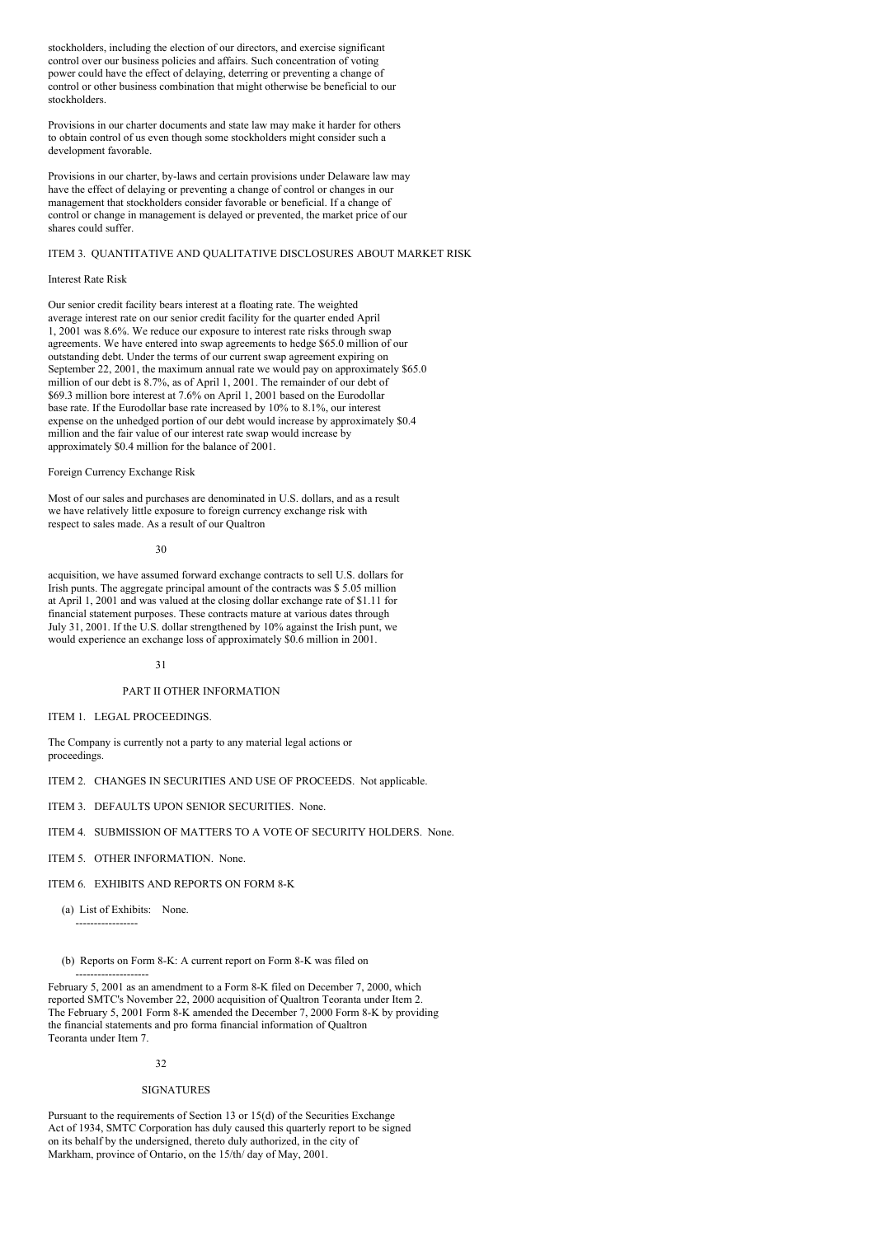stockholders, including the election of our directors, and exercise significant control over our business policies and affairs. Such concentration of voting power could have the effect of delaying, deterring or preventing a change of control or other business combination that might otherwise be beneficial to our stockholders.

Provisions in our charter documents and state law may make it harder for others to obtain control of us even though some stockholders might consider such a development favorable.

Provisions in our charter, by-laws and certain provisions under Delaware law may have the effect of delaying or preventing a change of control or changes in our management that stockholders consider favorable or beneficial. If a change of control or change in management is delayed or prevented, the market price of our shares could suffer.

# ITEM 3. QUANTITATIVE AND QUALITATIVE DISCLOSURES ABOUT MARKET RISK

## Interest Rate Risk

Our senior credit facility bears interest at a floating rate. The weighted average interest rate on our senior credit facility for the quarter ended April 1, 2001 was 8.6%. We reduce our exposure to interest rate risks through swap agreements. We have entered into swap agreements to hedge \$65.0 million of our outstanding debt. Under the terms of our current swap agreement expiring on September 22, 2001, the maximum annual rate we would pay on approximately \$65.0 million of our debt is 8.7%, as of April 1, 2001. The remainder of our debt of \$69.3 million bore interest at 7.6% on April 1, 2001 based on the Eurodollar base rate. If the Eurodollar base rate increased by 10% to 8.1%, our interest expense on the unhedged portion of our debt would increase by approximately \$0.4 million and the fair value of our interest rate swap would increase by approximately \$0.4 million for the balance of 2001.

### Foreign Currency Exchange Risk

Most of our sales and purchases are denominated in U.S. dollars, and as a result we have relatively little exposure to foreign currency exchange risk with respect to sales made. As a result of our Qualtron

30

acquisition, we have assumed forward exchange contracts to sell U.S. dollars for Irish punts. The aggregate principal amount of the contracts was \$ 5.05 million at April 1, 2001 and was valued at the closing dollar exchange rate of \$1.11 for financial statement purposes. These contracts mature at various dates through July 31, 2001. If the U.S. dollar strengthened by 10% against the Irish punt, we would experience an exchange loss of approximately \$0.6 million in 2001.

#### 31

# PART II OTHER INFORMATION

ITEM 1. LEGAL PROCEEDINGS.

The Company is currently not a party to any material legal actions or proceedings.

ITEM 2. CHANGES IN SECURITIES AND USE OF PROCEEDS. Not applicable.

ITEM 3. DEFAULTS UPON SENIOR SECURITIES. None.

ITEM 4. SUBMISSION OF MATTERS TO A VOTE OF SECURITY HOLDERS. None.

ITEM 5. OTHER INFORMATION. None.

ITEM 6. EXHIBITS AND REPORTS ON FORM 8-K

(a) List of Exhibits: None.

-----------------

(b) Reports on Form 8-K: A current report on Form 8-K was filed on

-------------------- February 5, 2001 as an amendment to a Form 8-K filed on December 7, 2000, which reported SMTC's November 22, 2000 acquisition of Qualtron Teoranta under Item 2. The February 5, 2001 Form 8-K amended the December 7, 2000 Form 8-K by providing the financial statements and pro forma financial information of Qualtron Teoranta under Item 7.

#### 32

#### **SIGNATURES**

Pursuant to the requirements of Section 13 or 15(d) of the Securities Exchange Act of 1934, SMTC Corporation has duly caused this quarterly report to be signed on its behalf by the undersigned, thereto duly authorized, in the city of Markham, province of Ontario, on the 15/th/ day of May, 2001.